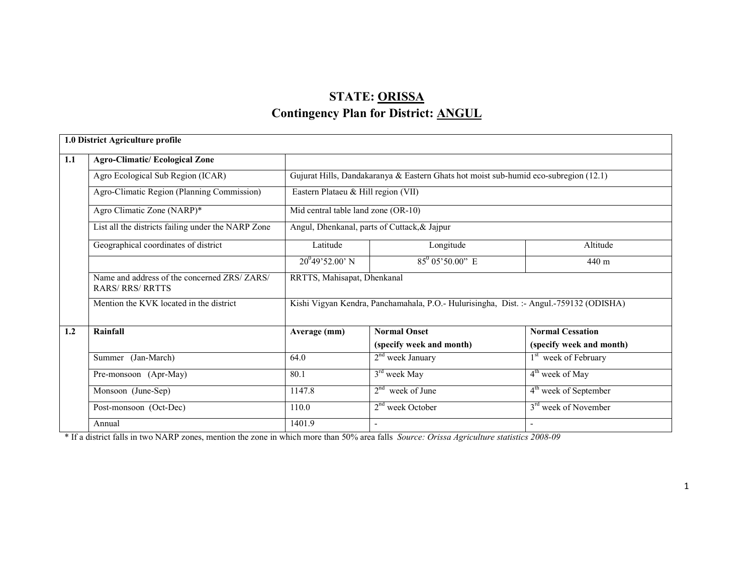# STATE: ORISSAContingency Plan for District: ANGUL

|     | 1.0 District Agriculture profile                                        |                                              |                                                                                        |                                   |  |  |  |
|-----|-------------------------------------------------------------------------|----------------------------------------------|----------------------------------------------------------------------------------------|-----------------------------------|--|--|--|
| 1.1 | <b>Agro-Climatic/Ecological Zone</b>                                    |                                              |                                                                                        |                                   |  |  |  |
|     | Agro Ecological Sub Region (ICAR)                                       |                                              | Gujurat Hills, Dandakaranya & Eastern Ghats hot moist sub-humid eco-subregion (12.1)   |                                   |  |  |  |
|     | Agro-Climatic Region (Planning Commission)                              | Eastern Plataeu & Hill region (VII)          |                                                                                        |                                   |  |  |  |
|     | Agro Climatic Zone (NARP)*                                              | Mid central table land zone (OR-10)          |                                                                                        |                                   |  |  |  |
|     | List all the districts failing under the NARP Zone                      | Angul, Dhenkanal, parts of Cuttack, & Jajpur |                                                                                        |                                   |  |  |  |
|     | Geographical coordinates of district                                    | Latitude                                     | Longitude                                                                              | Altitude                          |  |  |  |
|     |                                                                         | $20^{0}49'52.00'$ N                          | $85^0$ 05'50.00" E                                                                     | 440 m                             |  |  |  |
|     | Name and address of the concerned ZRS/ ZARS/<br><b>RARS/ RRS/ RRTTS</b> | RRTTS, Mahisapat, Dhenkanal                  |                                                                                        |                                   |  |  |  |
|     | Mention the KVK located in the district                                 |                                              | Kishi Vigyan Kendra, Panchamahala, P.O.- Hulurisingha, Dist. :- Angul.-759132 (ODISHA) |                                   |  |  |  |
| 1.2 | Rainfall                                                                | Average (mm)                                 | <b>Normal Onset</b>                                                                    | <b>Normal Cessation</b>           |  |  |  |
|     |                                                                         |                                              | (specify week and month)                                                               | (specify week and month)          |  |  |  |
|     | Summer (Jan-March)                                                      | 64.0                                         | $2nd$ week January                                                                     | 1 <sup>st</sup> week of February  |  |  |  |
|     | Pre-monsoon (Apr-May)                                                   | 80.1                                         | $3rd$ week May                                                                         | 4 <sup>th</sup> week of May       |  |  |  |
|     | Monsoon (June-Sep)                                                      | 1147.8                                       | $2nd$ week of June                                                                     | 4 <sup>th</sup> week of September |  |  |  |
|     | Post-monsoon (Oct-Dec)                                                  | 110.0                                        | $2nd$ week October                                                                     | 3 <sup>rd</sup> week of November  |  |  |  |
|     | Annual                                                                  | 1401.9                                       | $\overline{\phantom{a}}$                                                               | $\overline{\phantom{a}}$          |  |  |  |

\* If a district falls in two NARP zones, mention the zone in which more than 50% area falls Source: Orissa Agriculture statistics 2008-09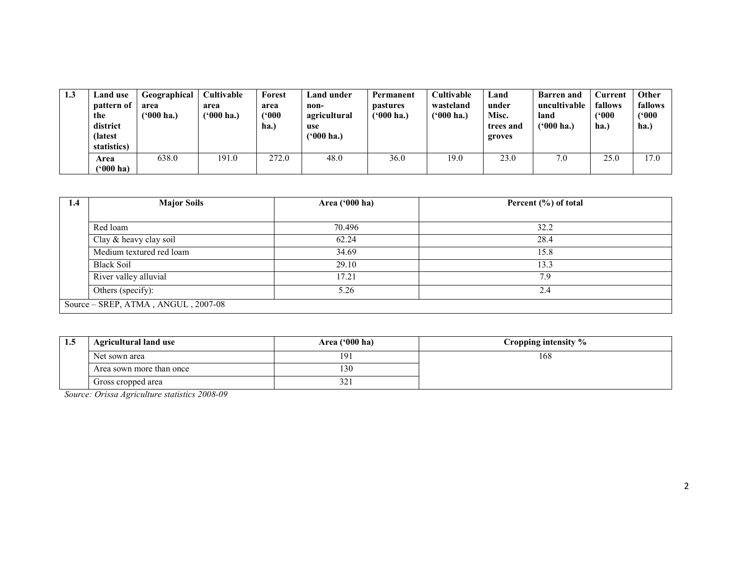| 1.3 | Land use<br>pattern of<br>the<br>district<br>(latest<br>statistics) | Geographical<br>area<br>('000 ha.) | <b>Cultivable</b><br>area<br>('000 ha.) | Forest<br>area<br>(500)<br>ha.) | Land under<br>non-<br>agricultural<br>use<br>$(900)$ ha.) | Permanent<br>pastures<br>$(900)$ ha.) | Cultivable<br>wasteland<br>$(900)$ ha.) | ∟and<br>under<br>Misc.<br>trees and<br>groves | <b>Barren and</b><br>uncultivable<br>land<br>$(900)$ ha.) | Current<br>fallows<br>('000<br> ha. | Other<br>fallows<br>(900)<br>ha.) |
|-----|---------------------------------------------------------------------|------------------------------------|-----------------------------------------|---------------------------------|-----------------------------------------------------------|---------------------------------------|-----------------------------------------|-----------------------------------------------|-----------------------------------------------------------|-------------------------------------|-----------------------------------|
|     | Area<br>(*000 ha)                                                   | 638.0                              | 191.0                                   | 272.0                           | 48.0                                                      | 36.0                                  | 19.0                                    | 23.0                                          | 7.0                                                       | 25.0                                | 17.0                              |

| 1.4 | <b>Major Soils</b>                  | Area ('000 ha) | Percent (%) of total |  |  |  |
|-----|-------------------------------------|----------------|----------------------|--|--|--|
|     |                                     |                |                      |  |  |  |
|     | Red loam                            | 70.496         | 32.2                 |  |  |  |
|     | Clay & heavy clay soil              | 62.24          | 28.4                 |  |  |  |
|     | Medium textured red loam            | 34.69          | 15.8                 |  |  |  |
|     | <b>Black Soil</b>                   | 29.10          | 13.3                 |  |  |  |
|     | River valley alluvial               | 17.21          | 7.9                  |  |  |  |
|     | Others (specify):                   | 5.26           | 2.4                  |  |  |  |
|     | Source – SREP, ATMA, ANGUL, 2007-08 |                |                      |  |  |  |

| 1.5 | <b>Agricultural land use</b> | Area ('000 ha) | Cropping intensity % |
|-----|------------------------------|----------------|----------------------|
|     | Net sown area                | 191            | 168                  |
|     | Area sown more than once     | l 30           |                      |
|     | Gross cropped area           | 54.            |                      |

Source: Orissa Agriculture statistics 2008-09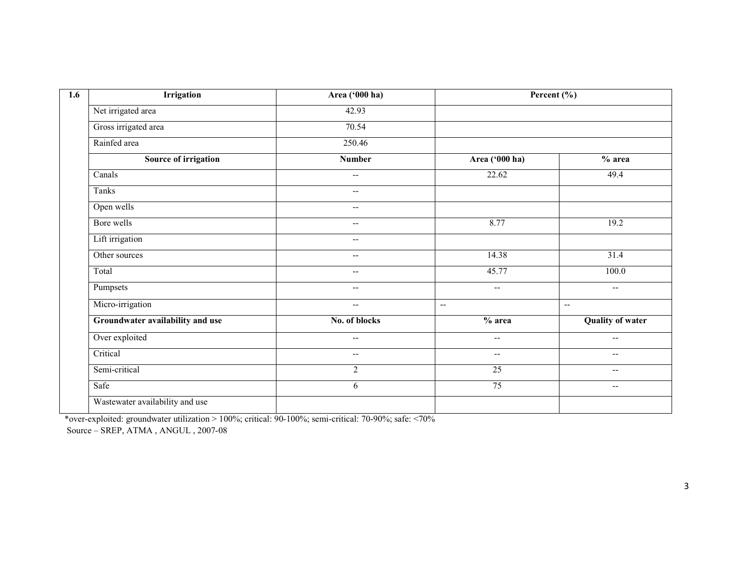| <b>Irrigation</b>                | Area ('000 ha)           |                          | Percent (%)              |
|----------------------------------|--------------------------|--------------------------|--------------------------|
| Net irrigated area               | 42.93                    |                          |                          |
| Gross irrigated area             | 70.54                    |                          |                          |
| Rainfed area                     | 250.46                   |                          |                          |
| Source of irrigation             | <b>Number</b>            | Area ('000 ha)           | $%$ area                 |
| Canals                           | $\overline{\phantom{m}}$ | 22.62                    | 49.4                     |
| Tanks                            | $\overline{\phantom{a}}$ |                          |                          |
| Open wells                       | $\overline{\phantom{m}}$ |                          |                          |
| Bore wells                       | $\overline{\phantom{a}}$ | 8.77                     | 19.2                     |
| Lift irrigation                  | $\qquad \qquad -$        |                          |                          |
| Other sources                    | $\overline{\phantom{a}}$ | 14.38                    | 31.4                     |
| Total                            | $\overline{\phantom{a}}$ | 45.77                    | 100.0                    |
| Pumpsets                         | $\overline{\phantom{m}}$ | --                       | $\overline{\phantom{m}}$ |
| Micro-irrigation                 | $\overline{\phantom{m}}$ | $\overline{\phantom{a}}$ | $\overline{\phantom{a}}$ |
| Groundwater availability and use | No. of blocks            | $\overline{\%}$ area     | <b>Quality of water</b>  |
| Over exploited                   | $\overline{\phantom{a}}$ | --                       | $- -$                    |
| Critical                         | $\overline{\phantom{m}}$ | $\overline{\phantom{a}}$ | $\overline{\phantom{a}}$ |
| Semi-critical                    | $\overline{2}$           | $\overline{25}$          | $-$                      |
| Safe                             | 6                        | 75                       | $- -$                    |
| Wastewater availability and use  |                          |                          |                          |

\*over-exploited: groundwater utilization > 100%; critical: 90-100%; semi-critical: 70-90%; safe: <70% Source – SREP, ATMA , ANGUL , 2007-08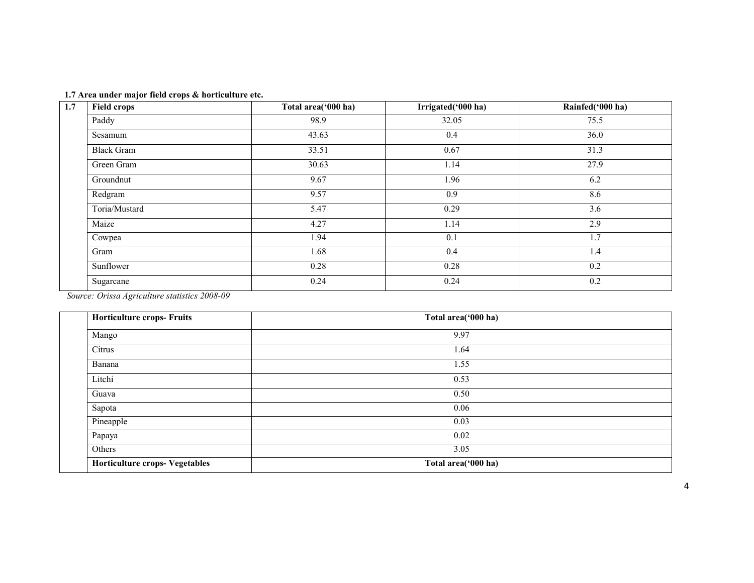|  |  | 1.7 Area under major field crops & horticulture etc. |
|--|--|------------------------------------------------------|
|  |  |                                                      |

| 1.7 | <b>Field crops</b> | Total area('000 ha) | Irrigated('000 ha) | Rainfed('000 ha) |
|-----|--------------------|---------------------|--------------------|------------------|
|     | Paddy              | 98.9                | 32.05              | 75.5             |
|     | Sesamum            | 43.63               | 0.4                | 36.0             |
|     | <b>Black Gram</b>  | 33.51               | 0.67               | 31.3             |
|     | Green Gram         | 30.63               | 1.14               | 27.9             |
|     | Groundnut          | 9.67                | 1.96               | 6.2              |
|     | Redgram            | 9.57                | 0.9                | 8.6              |
|     | Toria/Mustard      | 5.47                | 0.29               | 3.6              |
|     | Maize              | 4.27                | 1.14               | 2.9              |
|     | Cowpea             | 1.94                | 0.1                | 1.7              |
|     | Gram               | 1.68                | 0.4                | 1.4              |
|     | Sunflower          | 0.28                | 0.28               | 0.2              |
|     | Sugarcane          | 0.24                | 0.24               | 0.2              |

Source: Orissa Agriculture statistics 2008-09

| <b>Horticulture crops- Fruits</b> | Total area('000 ha) |
|-----------------------------------|---------------------|
| Mango                             | 9.97                |
| Citrus                            | 1.64                |
| Banana                            | 1.55                |
| Litchi                            | 0.53                |
| Guava                             | 0.50                |
| Sapota                            | 0.06                |
| Pineapple                         | 0.03                |
| Papaya                            | 0.02                |
| Others                            | 3.05                |
| Horticulture crops- Vegetables    | Total area('000 ha) |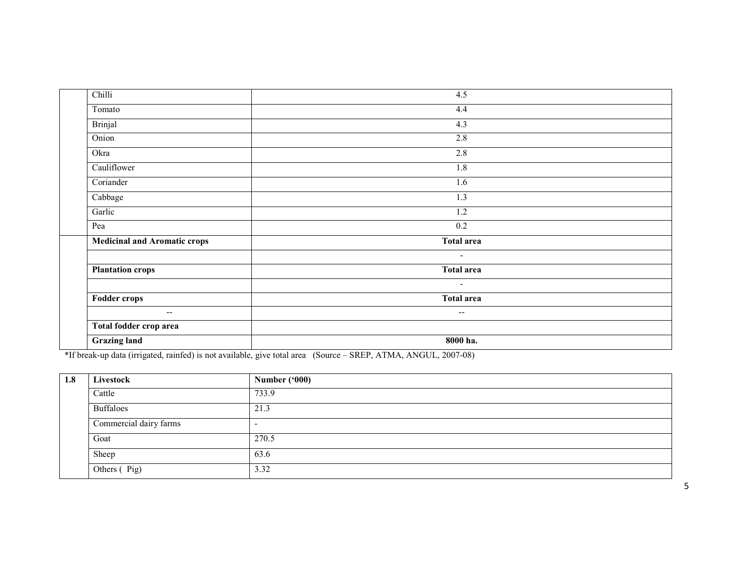| Chilli                       | 4.5                      |
|------------------------------|--------------------------|
| Tomato                       | 4.4                      |
| Brinjal                      | 4.3                      |
| Onion                        | 2.8                      |
| Okra                         | 2.8                      |
| Cauliflower                  | 1.8                      |
| Coriander                    | 1.6                      |
| Cabbage                      | 1.3                      |
| Garlic                       | 1.2                      |
| Pea                          | 0.2                      |
| Medicinal and Aromatic crops | Total area               |
|                              | $\blacksquare$           |
| <b>Plantation crops</b>      | <b>Total area</b>        |
|                              | $\overline{\phantom{a}}$ |
| Fodder crops                 | <b>Total area</b>        |
| $\overline{\phantom{m}}$     | $\overline{\phantom{m}}$ |
| Total fodder crop area       |                          |
| <b>Grazing land</b>          | 8000 ha.                 |

\*If break-up data (irrigated, rainfed) is not available, give total area (Source – SREP, ATMA, ANGUL, 2007-08)

| 1.8 | Livestock              | Number $(900)$           |
|-----|------------------------|--------------------------|
|     | Cattle                 | 733.9                    |
|     | <b>Buffaloes</b>       | 21.3                     |
|     | Commercial dairy farms | $\overline{\phantom{0}}$ |
|     | Goat                   | 270.5                    |
|     | Sheep                  | 63.6                     |
|     | Others (Pig)           | 3.32                     |

5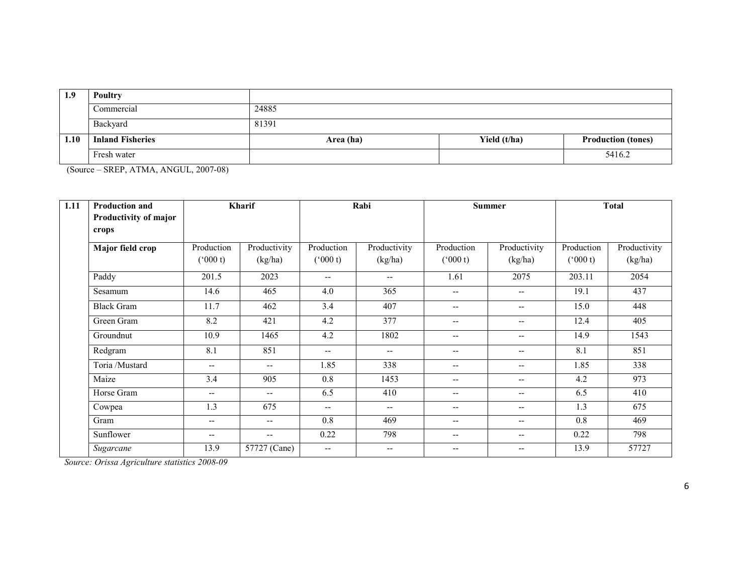| 1.9  | Poultry                 |           |              |                           |
|------|-------------------------|-----------|--------------|---------------------------|
|      | Commercial              | 24885     |              |                           |
|      | Backyard                | 81391     |              |                           |
| 1.10 | <b>Inland Fisheries</b> | Area (ha) | Yield (t/ha) | <b>Production (tones)</b> |
|      | Fresh water             |           |              | 5416.2                    |

(Source – SREP, ATMA, ANGUL, 2007-08)

| 1.11 | Kharif<br><b>Production and</b><br>Productivity of major |                          |                          | Rabi                     |              | <b>Summer</b>            |                          | <b>Total</b> |              |
|------|----------------------------------------------------------|--------------------------|--------------------------|--------------------------|--------------|--------------------------|--------------------------|--------------|--------------|
|      | crops                                                    |                          |                          |                          |              |                          |                          |              |              |
|      | Major field crop                                         | Production               | Productivity             | Production               | Productivity | Production               | Productivity             | Production   | Productivity |
|      |                                                          | $(^{o}000 t)$            | (kg/ha)                  | $(^{o}000 t)$            | (kg/ha)      | $(^{o}000 t)$            | (kg/ha)                  | (000 t)      | (kg/ha)      |
|      | Paddy                                                    | 201.5                    | 2023                     | $\overline{\phantom{a}}$ | $- -$        | 1.61                     | 2075                     | 203.11       | 2054         |
|      | Sesamum                                                  | 14.6                     | 465                      | 4.0                      | 365          | $\overline{\phantom{a}}$ | $\overline{\phantom{a}}$ | 19.1         | 437          |
|      | <b>Black Gram</b>                                        | 11.7                     | 462                      | 3.4                      | 407          | $\qquad \qquad -$        | $- -$                    | 15.0         | 448          |
|      | Green Gram                                               | 8.2                      | 421                      | 4.2                      | 377          | $\overline{\phantom{a}}$ | $- -$                    | 12.4         | 405          |
|      | Groundnut                                                | 10.9                     | 1465                     | 4.2                      | 1802         | $\overline{\phantom{a}}$ | $\overline{\phantom{a}}$ | 14.9         | 1543         |
|      | Redgram                                                  | 8.1                      | 851                      | $--$                     | $- -$        | $\overline{\phantom{a}}$ | $\qquad \qquad -$        | 8.1          | 851          |
|      | Toria /Mustard                                           | $\overline{\phantom{a}}$ | $\qquad \qquad -$        | 1.85                     | 338          | $\overline{\phantom{a}}$ | $- -$                    | 1.85         | 338          |
|      | Maize                                                    | 3.4                      | 905                      | 0.8                      | 1453         | $\overline{\phantom{a}}$ | --                       | 4.2          | 973          |
|      | Horse Gram                                               | --                       | $\overline{\phantom{a}}$ | 6.5                      | 410          | $\overline{\phantom{a}}$ | --                       | 6.5          | 410          |
|      | Cowpea                                                   | 1.3                      | 675                      | $\overline{\phantom{a}}$ | --           | $\overline{\phantom{a}}$ | $- -$                    | 1.3          | 675          |
|      | Gram                                                     | $- -$                    | $- -$                    | 0.8                      | 469          | $- -$                    | $\qquad \qquad -$        | 0.8          | 469          |
|      | Sunflower                                                | $\qquad \qquad -$        | $\overline{\phantom{a}}$ | 0.22                     | 798          | $\overline{\phantom{a}}$ | --                       | 0.22         | 798          |
|      | Sugarcane                                                | 13.9                     | 57727 (Cane)             | $\overline{\phantom{m}}$ | --           | $\qquad \qquad -$        | --                       | 13.9         | 57727        |

Source: Orissa Agriculture statistics 2008-09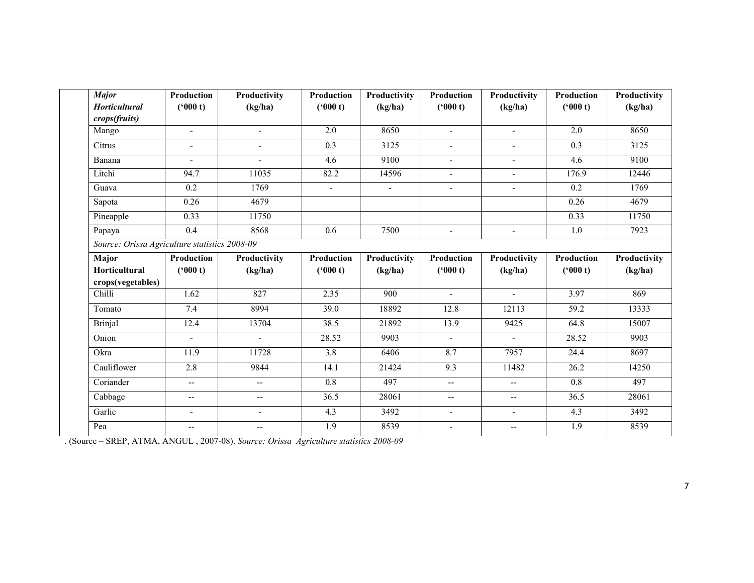| <b>Horticultural</b><br>crops(fruits)<br>Mango<br>Citrus<br>Banana<br>Litchi<br>Guava<br>Sapota<br>Pineapple | (900 t)<br>$\overline{\phantom{a}}$<br>$\blacksquare$<br>94.7<br>0.2<br>0.26<br>0.33<br>0.4 | (kg/ha)<br>$\blacksquare$<br>$\overline{\phantom{a}}$<br>$\sim$<br>11035<br>1769<br>4679<br>11750 | (900 t)<br>2.0<br>0.3<br>4.6<br>82.2<br>$\sim$ | (kg/ha)<br>8650<br>3125<br>9100<br>14596<br>$\blacksquare$ | (900 t)<br>$\blacksquare$<br>$\overline{\phantom{a}}$<br>$\blacksquare$<br>$\overline{\phantom{a}}$<br>$\blacksquare$ | (kg/ha)<br>$\blacksquare$<br>$\blacksquare$<br>$\Delta$<br>$\blacksquare$<br>$\blacksquare$ | (900 t)<br>2.0<br>0.3<br>4.6<br>176.9<br>0.2 | (kg/ha)<br>8650<br>3125<br>9100<br>12446<br>1769 |
|--------------------------------------------------------------------------------------------------------------|---------------------------------------------------------------------------------------------|---------------------------------------------------------------------------------------------------|------------------------------------------------|------------------------------------------------------------|-----------------------------------------------------------------------------------------------------------------------|---------------------------------------------------------------------------------------------|----------------------------------------------|--------------------------------------------------|
|                                                                                                              |                                                                                             |                                                                                                   |                                                |                                                            |                                                                                                                       |                                                                                             |                                              |                                                  |
|                                                                                                              |                                                                                             |                                                                                                   |                                                |                                                            |                                                                                                                       |                                                                                             |                                              |                                                  |
|                                                                                                              |                                                                                             |                                                                                                   |                                                |                                                            |                                                                                                                       |                                                                                             |                                              |                                                  |
|                                                                                                              |                                                                                             |                                                                                                   |                                                |                                                            |                                                                                                                       |                                                                                             |                                              |                                                  |
|                                                                                                              |                                                                                             |                                                                                                   |                                                |                                                            |                                                                                                                       |                                                                                             |                                              |                                                  |
|                                                                                                              |                                                                                             |                                                                                                   |                                                |                                                            |                                                                                                                       |                                                                                             |                                              |                                                  |
|                                                                                                              |                                                                                             |                                                                                                   |                                                |                                                            |                                                                                                                       |                                                                                             |                                              |                                                  |
|                                                                                                              |                                                                                             |                                                                                                   |                                                |                                                            |                                                                                                                       |                                                                                             | 0.26                                         | 4679                                             |
|                                                                                                              |                                                                                             |                                                                                                   |                                                |                                                            |                                                                                                                       |                                                                                             | 0.33                                         | 11750                                            |
| Papaya                                                                                                       |                                                                                             | 8568                                                                                              | 0.6                                            | 7500                                                       | $\sim$                                                                                                                | $\overline{a}$                                                                              | 1.0                                          | 7923                                             |
| Source: Orissa Agriculture statistics 2008-09                                                                |                                                                                             |                                                                                                   |                                                |                                                            |                                                                                                                       |                                                                                             |                                              |                                                  |
| Major                                                                                                        | Production                                                                                  | Productivity                                                                                      | Production                                     | Productivity                                               | Production                                                                                                            | Productivity                                                                                | Production                                   | Productivity                                     |
| <b>Horticultural</b>                                                                                         | (900 t)                                                                                     | (kg/ha)                                                                                           | (900 t)                                        | (kg/ha)                                                    | ('000 t)                                                                                                              | (kg/ha)                                                                                     | (900 t)                                      | (kg/ha)                                          |
| crops(vegetables)                                                                                            |                                                                                             |                                                                                                   |                                                |                                                            |                                                                                                                       |                                                                                             |                                              |                                                  |
| Chilli                                                                                                       | 1.62                                                                                        | 827                                                                                               | 2.35                                           | $\overline{900}$                                           | $\overline{\phantom{a}}$                                                                                              | $\blacksquare$                                                                              | 3.97                                         | 869                                              |
| Tomato                                                                                                       | 7.4                                                                                         | 8994                                                                                              | 39.0                                           | 18892                                                      | 12.8                                                                                                                  | 12113                                                                                       | 59.2                                         | 13333                                            |
| <b>Brinjal</b>                                                                                               | 12.4                                                                                        | 13704                                                                                             | 38.5                                           | 21892                                                      | 13.9                                                                                                                  | 9425                                                                                        | 64.8                                         | 15007                                            |
| Onion                                                                                                        |                                                                                             | $\blacksquare$                                                                                    | 28.52                                          | 9903                                                       | $\blacksquare$                                                                                                        | $\blacksquare$                                                                              | 28.52                                        | 9903                                             |
| Okra                                                                                                         | 11.9                                                                                        | 11728                                                                                             | 3.8                                            | 6406                                                       | 8.7                                                                                                                   | 7957                                                                                        | 24.4                                         | 8697                                             |
| Cauliflower                                                                                                  | 2.8                                                                                         | 9844                                                                                              | 14.1                                           | 21424                                                      | 9.3                                                                                                                   | 11482                                                                                       | 26.2                                         | 14250                                            |
| Coriander                                                                                                    | $\overline{\phantom{a}}$                                                                    | $\overline{\phantom{a}}$                                                                          | 0.8                                            | 497                                                        | $\overline{\phantom{a}}$                                                                                              | $\overline{\phantom{m}}$                                                                    | 0.8                                          | 497                                              |
| Cabbage                                                                                                      | $\overline{\phantom{a}}$                                                                    | $-$                                                                                               | 36.5                                           | 28061                                                      | $\overline{\phantom{a}}$                                                                                              | $\overline{\phantom{a}}$                                                                    | 36.5                                         | 28061                                            |
| Garlic                                                                                                       |                                                                                             | $\blacksquare$                                                                                    | 4.3                                            | 3492                                                       | $\blacksquare$                                                                                                        | $\overline{a}$                                                                              | 4.3                                          | 3492                                             |
| Pea                                                                                                          | $\overline{\phantom{a}}$                                                                    | $-$                                                                                               | $\overline{1.9}$                               | 8539                                                       | $\overline{\phantom{a}}$                                                                                              | $\overline{\phantom{a}}$                                                                    | 1.9                                          | 8539                                             |
|                                                                                                              |                                                                                             |                                                                                                   |                                                |                                                            |                                                                                                                       |                                                                                             |                                              |                                                  |

. (Source – SREP, ATMA, ANGUL , 2007-08). Source: Orissa Agriculture statistics 2008-09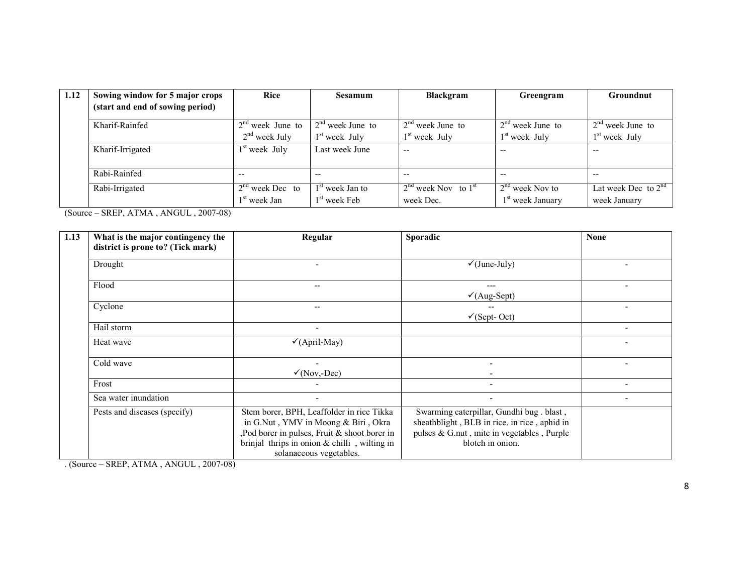| 1.12 | Sowing window for 5 major crops  | <b>Rice</b>              | <b>Sesamum</b>     | Blackgram               | Greengram          | Groundnut             |
|------|----------------------------------|--------------------------|--------------------|-------------------------|--------------------|-----------------------|
|      | (start and end of sowing period) |                          |                    |                         |                    |                       |
|      | Kharif-Rainfed                   | $2nd$ week June to       | $2nd$ week June to | $2nd$ week June to      | $2nd$ week June to | $2nd$ week June to    |
|      |                                  | $2nd$ week July          | $1st$ week July    | $1st$ week July         | $1st$ week July    | $1st$ week July       |
|      | Kharif-Irrigated                 | $1st$ week July          | Last week June     | --                      | --                 | --                    |
|      | Rabi-Rainfed                     | $- -$                    | $- -$              | $- -$                   | $- -$              | $- -$                 |
|      | Rabi-Irrigated                   | $2nd$ week Dec to        | $1st$ week Jan to  | $2nd$ week Nov to $1st$ | $2nd$ week Nov to  | Lat week Dec to $2nd$ |
|      |                                  | 1 <sup>st</sup> week Jan | $1st$ week Feb     | week Dec.               | $1st$ week January | week January          |

(Source – SREP, ATMA , ANGUL , 2007-08)

| 1.13 | What is the major contingency the | Regular                                                                                                                                                                                                      | Sporadic                                                                                                                                                   | <b>None</b> |
|------|-----------------------------------|--------------------------------------------------------------------------------------------------------------------------------------------------------------------------------------------------------------|------------------------------------------------------------------------------------------------------------------------------------------------------------|-------------|
|      | district is prone to? (Tick mark) |                                                                                                                                                                                                              |                                                                                                                                                            |             |
|      | Drought                           |                                                                                                                                                                                                              | $\checkmark$ (June-July)                                                                                                                                   |             |
|      | Flood                             | --                                                                                                                                                                                                           | ---<br>$\checkmark$ (Aug-Sept)                                                                                                                             |             |
|      | Cyclone                           |                                                                                                                                                                                                              | $\checkmark$ (Sept-Oct)                                                                                                                                    |             |
|      | Hail storm                        |                                                                                                                                                                                                              |                                                                                                                                                            |             |
|      | Heat wave                         | $\checkmark$ (April-May)                                                                                                                                                                                     |                                                                                                                                                            |             |
|      | Cold wave                         | $\checkmark$ (Nov,-Dec)                                                                                                                                                                                      |                                                                                                                                                            |             |
|      | Frost                             |                                                                                                                                                                                                              | $\overline{\phantom{a}}$                                                                                                                                   |             |
|      | Sea water inundation              | $\overline{\phantom{0}}$                                                                                                                                                                                     | $\overline{\phantom{a}}$                                                                                                                                   |             |
|      | Pests and diseases (specify)      | Stem borer, BPH, Leaffolder in rice Tikka<br>in G.Nut, YMV in Moong & Biri, Okra<br>Pod borer in pulses, Fruit & shoot borer in<br>brinjal thrips in onion $&$ chilli, wilting in<br>solanaceous vegetables. | Swarming caterpillar, Gundhi bug. blast,<br>sheathblight, BLB in rice. in rice, aphid in<br>pulses & G.nut, mite in vegetables, Purple<br>blotch in onion. |             |

. (Source – SREP, ATMA , ANGUL , 2007-08)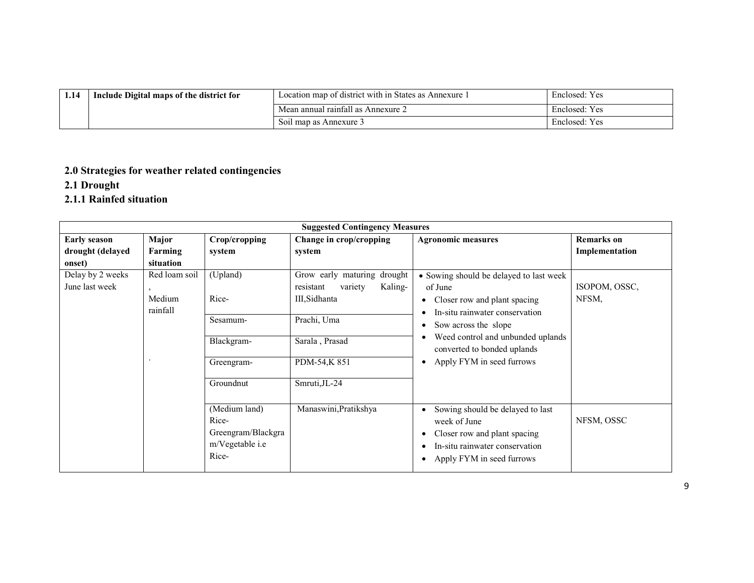| 1.14 | Include Digital maps of the district for | Location map of district with in States as Annexure 1 | Y es<br>Enclosed: |
|------|------------------------------------------|-------------------------------------------------------|-------------------|
|      |                                          | Mean annual rainfall as Annexure 2                    | Enclosed: Yes     |
|      |                                          | Soil map as Annexure 3                                | Enclosed: Yes     |

# 2.0 Strategies for weather related contingencies

### 2.1 Drought

## 2.1.1 Rainfed situation

| <b>Suggested Contingency Measures</b> |                    |                                                                          |                                                                |                                                                                                                                                 |                   |  |
|---------------------------------------|--------------------|--------------------------------------------------------------------------|----------------------------------------------------------------|-------------------------------------------------------------------------------------------------------------------------------------------------|-------------------|--|
| <b>Early season</b>                   | Major              | Crop/cropping                                                            | Change in crop/cropping                                        | <b>Agronomic measures</b>                                                                                                                       | <b>Remarks</b> on |  |
| drought (delayed                      | Farming            | system                                                                   | system                                                         |                                                                                                                                                 | Implementation    |  |
| onset)                                | situation          |                                                                          |                                                                |                                                                                                                                                 |                   |  |
| Delay by 2 weeks<br>June last week    | Red loam soil      | (Upland)                                                                 | Grow early maturing drought<br>Kaling-<br>resistant<br>variety | • Sowing should be delayed to last week<br>of June                                                                                              | ISOPOM, OSSC,     |  |
|                                       | Medium<br>rainfall | Rice-                                                                    | III.Sidhanta                                                   | Closer row and plant spacing                                                                                                                    | NFSM,             |  |
|                                       |                    | Sesamum-                                                                 | Prachi, Uma                                                    | In-situ rainwater conservation<br>Sow across the slope                                                                                          |                   |  |
|                                       |                    | Blackgram-                                                               | Sarala, Prasad                                                 | Weed control and unbunded uplands<br>converted to bonded uplands                                                                                |                   |  |
|                                       |                    | Greengram-                                                               | PDM-54,K 851                                                   | Apply FYM in seed furrows                                                                                                                       |                   |  |
|                                       |                    | Groundnut                                                                | Smruti, JL-24                                                  |                                                                                                                                                 |                   |  |
|                                       |                    | (Medium land)<br>Rice-<br>Greengram/Blackgra<br>m/Vegetable i.e<br>Rice- | Manaswini, Pratikshya                                          | Sowing should be delayed to last<br>week of June<br>Closer row and plant spacing<br>In-situ rainwater conservation<br>Apply FYM in seed furrows | NFSM, OSSC        |  |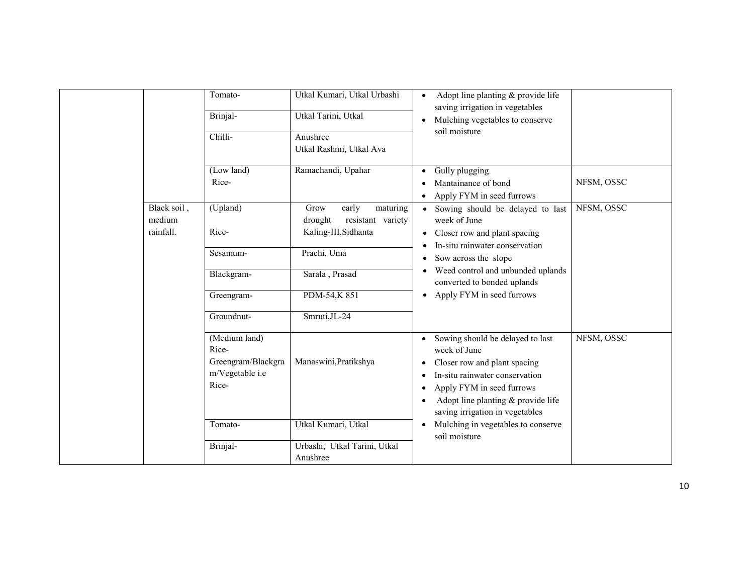|                                    | Tomato-                                                                  | Utkal Kumari, Utkal Urbashi                                                       | Adopt line planting & provide life<br>$\bullet$<br>saving irrigation in vegetables                                                                                                                                                                                              |
|------------------------------------|--------------------------------------------------------------------------|-----------------------------------------------------------------------------------|---------------------------------------------------------------------------------------------------------------------------------------------------------------------------------------------------------------------------------------------------------------------------------|
|                                    | Brinjal-                                                                 | Utkal Tarini, Utkal                                                               | Mulching vegetables to conserve<br>$\bullet$                                                                                                                                                                                                                                    |
|                                    | Chilli-                                                                  | Anushree<br>Utkal Rashmi, Utkal Ava                                               | soil moisture                                                                                                                                                                                                                                                                   |
|                                    | (Low land)<br>Rice-                                                      | Ramachandi, Upahar                                                                | Gully plugging<br>$\bullet$<br>NFSM, OSSC<br>Mantainance of bond<br>Apply FYM in seed furrows<br>$\bullet$                                                                                                                                                                      |
| Black soil,<br>medium<br>rainfall. | (Upland)<br>Rice-                                                        | early<br>Grow<br>maturing<br>resistant variety<br>drought<br>Kaling-III, Sidhanta | NFSM, OSSC<br>Sowing should be delayed to last<br>week of June<br>Closer row and plant spacing<br>$\bullet$<br>In-situ rainwater conservation                                                                                                                                   |
|                                    | Sesamum-                                                                 | Prachi, Uma                                                                       | $\bullet$<br>Sow across the slope<br>$\bullet$                                                                                                                                                                                                                                  |
|                                    | Blackgram-                                                               | Sarala, Prasad                                                                    | Weed control and unbunded uplands<br>$\bullet$<br>converted to bonded uplands                                                                                                                                                                                                   |
|                                    | Greengram-                                                               | PDM-54,K851                                                                       | Apply FYM in seed furrows<br>$\bullet$                                                                                                                                                                                                                                          |
|                                    | Groundnut-                                                               | Smruti, JL-24                                                                     |                                                                                                                                                                                                                                                                                 |
|                                    | (Medium land)<br>Rice-<br>Greengram/Blackgra<br>m/Vegetable i.e<br>Rice- | Manaswini, Pratikshya                                                             | NFSM, OSSC<br>Sowing should be delayed to last<br>$\bullet$<br>week of June<br>Closer row and plant spacing<br>٠<br>In-situ rainwater conservation<br>$\bullet$<br>Apply FYM in seed furrows<br>٠<br>Adopt line planting & provide life<br>٠<br>saving irrigation in vegetables |
|                                    | Tomato-                                                                  | Utkal Kumari, Utkal                                                               | Mulching in vegetables to conserve<br>$\bullet$<br>soil moisture                                                                                                                                                                                                                |
|                                    | Brinjal-                                                                 | Urbashi, Utkal Tarini, Utkal<br>Anushree                                          |                                                                                                                                                                                                                                                                                 |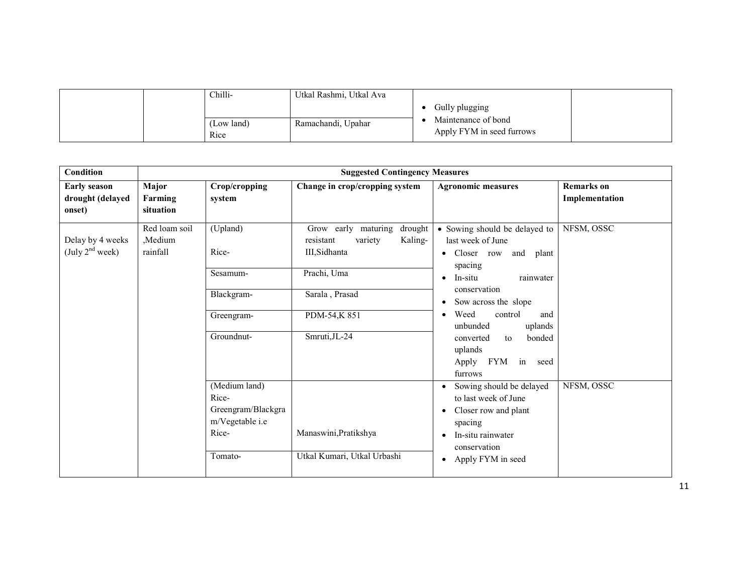| Chilli-            | Utkal Rashmi, Utkal Ava |                                                                    |
|--------------------|-------------------------|--------------------------------------------------------------------|
| (Low land)<br>Rice | Ramachandi, Upahar      | Gully plugging<br>Maintenance of bond<br>Apply FYM in seed furrows |

| Condition                                         | <b>Suggested Contingency Measures</b> |                                                                                     |                                                                                                                                                     |                                                                                                                                                                                                                                                                                                             |                                     |  |
|---------------------------------------------------|---------------------------------------|-------------------------------------------------------------------------------------|-----------------------------------------------------------------------------------------------------------------------------------------------------|-------------------------------------------------------------------------------------------------------------------------------------------------------------------------------------------------------------------------------------------------------------------------------------------------------------|-------------------------------------|--|
| <b>Early season</b><br>drought (delayed<br>onset) | Major<br>Farming<br>situation         | Crop/cropping<br>system                                                             | Change in crop/cropping system                                                                                                                      | <b>Agronomic measures</b>                                                                                                                                                                                                                                                                                   | <b>Remarks</b> on<br>Implementation |  |
| Delay by 4 weeks<br>(July $2nd$ week)             | Red loam soil<br>Medium.<br>rainfall  | (Upland)<br>Rice-<br>Sesamum-<br>Blackgram-<br>Greengram-<br>Groundnut-             | Grow early maturing<br>drought<br>Kaling-<br>resistant<br>variety<br>III, Sidhanta<br>Prachi, Uma<br>Sarala, Prasad<br>PDM-54,K851<br>Smruti, JL-24 | • Sowing should be delayed to<br>last week of June<br>Closer row<br>and plant<br>$\bullet$<br>spacing<br>In-situ<br>rainwater<br>conservation<br>Sow across the slope<br>Weed<br>control<br>and<br>$\bullet$<br>unbunded<br>uplands<br>bonded<br>converted<br>to<br>uplands<br>Apply FYM in seed<br>furrows | NFSM, OSSC                          |  |
|                                                   |                                       | (Medium land)<br>Rice-<br>Greengram/Blackgra<br>m/Vegetable i.e<br>Rice-<br>Tomato- | Manaswini, Pratikshya<br>Utkal Kumari, Utkal Urbashi                                                                                                | Sowing should be delayed<br>to last week of June<br>Closer row and plant<br>spacing<br>In-situ rainwater<br>conservation<br>Apply FYM in seed<br>$\bullet$                                                                                                                                                  | NFSM, OSSC                          |  |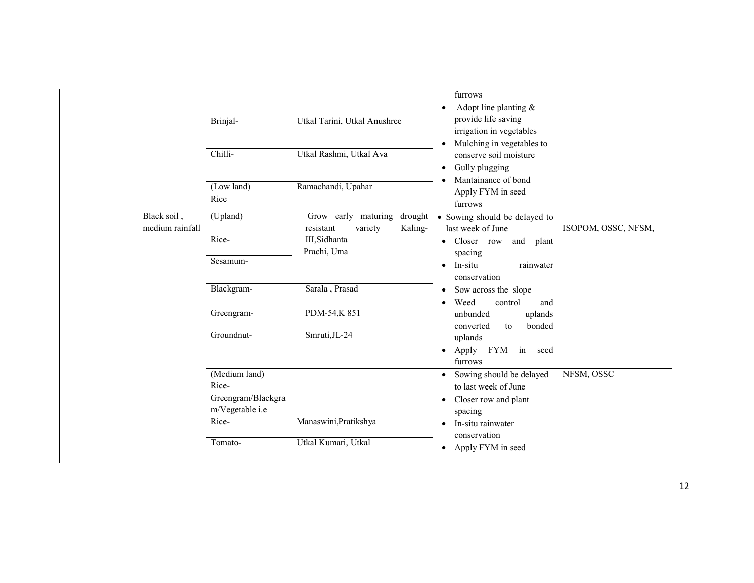|                                | Brinjal-<br>Chilli-<br>(Low land)<br>Rice                                           | Utkal Tarini, Utkal Anushree<br>Utkal Rashmi, Utkal Ava<br>Ramachandi, Upahar                     | furrows<br>Adopt line planting $\&$<br>provide life saving<br>irrigation in vegetables<br>Mulching in vegetables to<br>conserve soil moisture<br>Gully plugging<br>Mantainance of bond<br>Apply FYM in seed<br>furrows |                     |
|--------------------------------|-------------------------------------------------------------------------------------|---------------------------------------------------------------------------------------------------|------------------------------------------------------------------------------------------------------------------------------------------------------------------------------------------------------------------------|---------------------|
| Black soil,<br>medium rainfall | (Upland)<br>Rice-<br>Sesamum-                                                       | Grow early maturing<br>drought<br>Kaling-<br>resistant<br>variety<br>III, Sidhanta<br>Prachi, Uma | • Sowing should be delayed to<br>last week of June<br>Closer row and plant<br>spacing<br>In-situ<br>rainwater<br>$\bullet$<br>conservation                                                                             | ISOPOM, OSSC, NFSM, |
|                                | Blackgram-<br>Greengram-<br>Groundnut-                                              | Sarala, Prasad<br>PDM-54,K851<br>Smruti, JL-24                                                    | Sow across the slope<br>٠<br>Weed<br>control<br>and<br>unbunded<br>uplands<br>bonded<br>converted<br>to<br>uplands<br>Apply FYM in<br>seed<br>$\bullet$<br>furrows                                                     |                     |
|                                | (Medium land)<br>Rice-<br>Greengram/Blackgra<br>m/Vegetable i.e<br>Rice-<br>Tomato- | Manaswini, Pratikshya<br>Utkal Kumari, Utkal                                                      | Sowing should be delayed<br>to last week of June<br>Closer row and plant<br>٠<br>spacing<br>In-situ rainwater<br>conservation<br>Apply FYM in seed                                                                     | NFSM, OSSC          |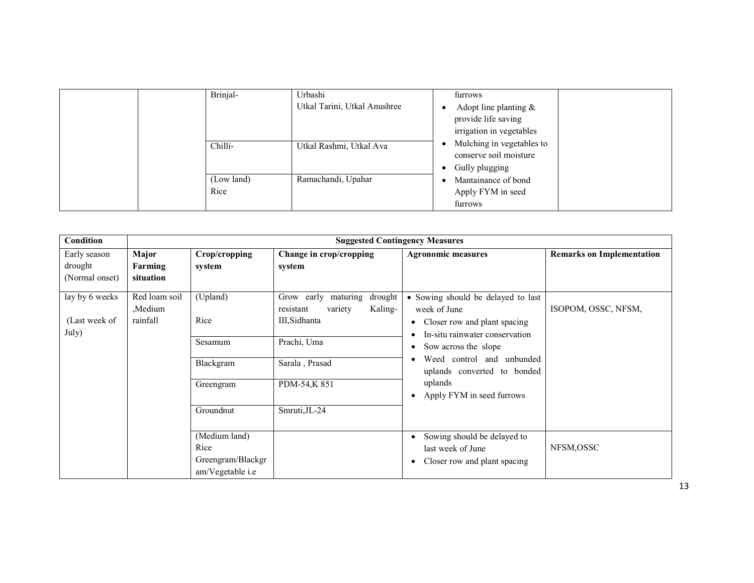|  | Brinjal-<br>Chilli- | Urbashi<br>Utkal Tarini, Utkal Anushree<br>Utkal Rashmi, Utkal Ava | furrows<br>Adopt line planting $\&$<br>provide life saving<br>irrigation in vegetables<br>Mulching in vegetables to<br>conserve soil moisture<br>Gully plugging |
|--|---------------------|--------------------------------------------------------------------|-----------------------------------------------------------------------------------------------------------------------------------------------------------------|
|  | (Low land)<br>Rice  | Ramachandi, Upahar                                                 | Mantainance of bond<br>Apply FYM in seed<br>furrows                                                                                                             |

| Condition                                 | <b>Suggested Contingency Measures</b> |                                                                    |                                                                                                                                                      |                                                                                                                                                                                                                                                            |                                  |  |  |  |
|-------------------------------------------|---------------------------------------|--------------------------------------------------------------------|------------------------------------------------------------------------------------------------------------------------------------------------------|------------------------------------------------------------------------------------------------------------------------------------------------------------------------------------------------------------------------------------------------------------|----------------------------------|--|--|--|
| Early season<br>drought<br>(Normal onset) | Major<br>Farming<br>situation         | Crop/cropping<br>system                                            | Change in crop/cropping<br>system                                                                                                                    | <b>Agronomic measures</b>                                                                                                                                                                                                                                  | <b>Remarks on Implementation</b> |  |  |  |
| lay by 6 weeks<br>(Last week of<br>July)  | Red loam soil<br>Medium,<br>rainfall  | (Upland)<br>Rice<br>Sesamum<br>Blackgram<br>Greengram<br>Groundnut | Grow early maturing<br>drought<br>Kaling-<br>resistant<br>variety<br>III, Sidhanta<br>Prachi, Uma<br>Sarala, Prasad<br>PDM-54,K 851<br>Smruti, JL-24 | • Sowing should be delayed to last<br>week of June<br>Closer row and plant spacing<br>٠<br>In-situ rainwater conservation<br>Sow across the slope<br>Weed control and unbunded<br>uplands converted to bonded<br>uplands<br>Apply FYM in seed furrows<br>٠ | ISOPOM, OSSC, NFSM,              |  |  |  |
|                                           |                                       | (Medium land)<br>Rice<br>Greengram/Blackgr<br>am/Vegetable i.e     |                                                                                                                                                      | Sowing should be delayed to<br>$\bullet$<br>last week of June<br>Closer row and plant spacing<br>٠                                                                                                                                                         | NFSM, OSSC                       |  |  |  |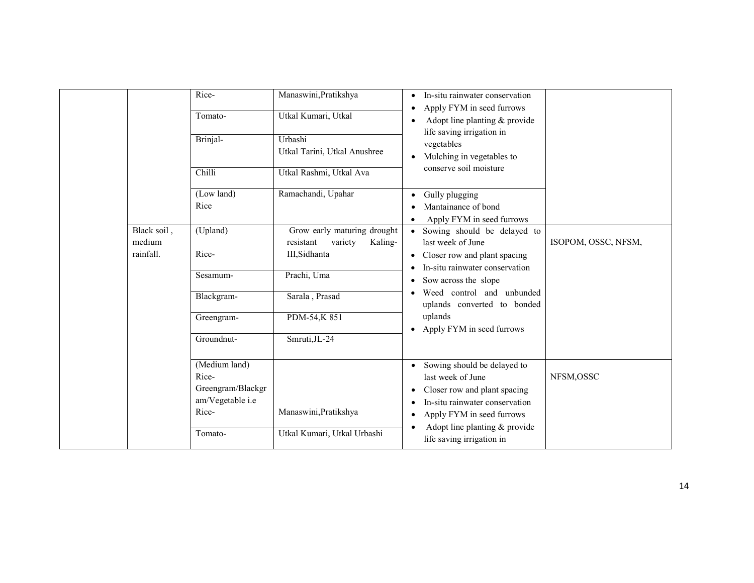|                                      | Rice-<br>Tomato-                               | Manaswini, Pratikshya<br>Utkal Kumari, Utkal<br>Urbashi                         | In-situ rainwater conservation<br>$\bullet$<br>Apply FYM in seed furrows<br>Adopt line planting & provide<br>life saving irrigation in                                  |                     |
|--------------------------------------|------------------------------------------------|---------------------------------------------------------------------------------|-------------------------------------------------------------------------------------------------------------------------------------------------------------------------|---------------------|
|                                      | Brinjal-<br>Chilli                             | Utkal Tarini, Utkal Anushree<br>Utkal Rashmi, Utkal Ava                         | vegetables<br>Mulching in vegetables to<br>conserve soil moisture                                                                                                       |                     |
|                                      | (Low land)<br>Rice                             | Ramachandi, Upahar                                                              | Gully plugging<br>Mantainance of bond<br>Apply FYM in seed furrows                                                                                                      |                     |
| Black soil,<br>medium<br>rainfall.   | (Upland)<br>Rice-                              | Grow early maturing drought<br>Kaling-<br>resistant<br>variety<br>III, Sidhanta | Sowing should be delayed to<br>$\bullet$<br>last week of June<br>• Closer row and plant spacing                                                                         | ISOPOM, OSSC, NFSM, |
| Sesamum-<br>Blackgram-<br>Greengram- |                                                | Prachi, Uma<br>Sarala, Prasad                                                   | In-situ rainwater conservation<br>Sow across the slope<br>Weed control and unbunded<br>uplands converted to bonded<br>uplands<br>Apply FYM in seed furrows<br>$\bullet$ |                     |
|                                      | Groundnut-                                     | PDM-54,K851<br>Smruti, JL-24                                                    |                                                                                                                                                                         |                     |
|                                      | (Medium land)<br>Rice-                         |                                                                                 | Sowing should be delayed to                                                                                                                                             | NFSM,OSSC           |
|                                      | Greengram/Blackgr<br>am/Vegetable i.e<br>Rice- | Manaswini, Pratikshya                                                           | last week of June<br>Closer row and plant spacing<br>٠<br>In-situ rainwater conservation<br>Apply FYM in seed furrows<br>٠                                              |                     |
|                                      | Tomato-                                        | Utkal Kumari, Utkal Urbashi                                                     | Adopt line planting $&$ provide<br>life saving irrigation in                                                                                                            |                     |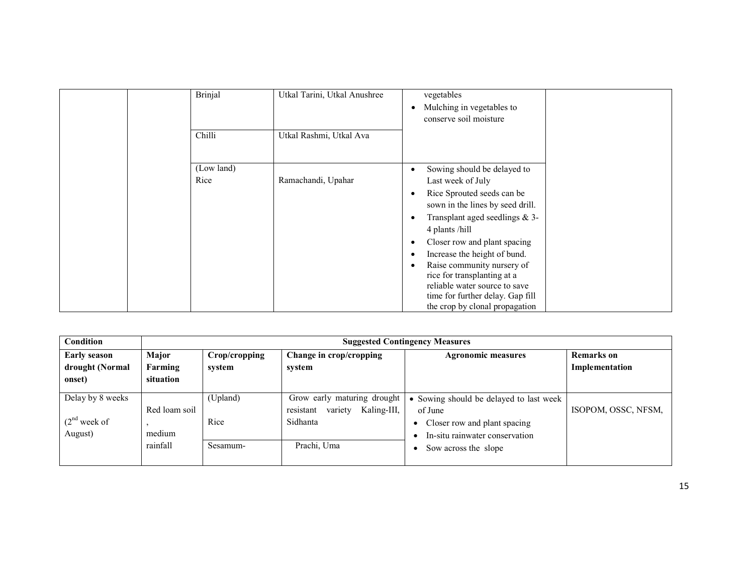| <b>Brinjal</b><br>Chilli | Utkal Tarini, Utkal Anushree<br>Utkal Rashmi, Utkal Ava | vegetables<br>Mulching in vegetables to<br>conserve soil moisture                                                                                                                                                                                                                                                                                                                                           |
|--------------------------|---------------------------------------------------------|-------------------------------------------------------------------------------------------------------------------------------------------------------------------------------------------------------------------------------------------------------------------------------------------------------------------------------------------------------------------------------------------------------------|
| (Low land)<br>Rice       | Ramachandi, Upahar                                      | Sowing should be delayed to<br>Last week of July<br>Rice Sprouted seeds can be<br>sown in the lines by seed drill.<br>Transplant aged seedlings $&3$ -<br>4 plants/hill<br>Closer row and plant spacing<br>Increase the height of bund.<br>Raise community nursery of<br>rice for transplanting at a<br>reliable water source to save<br>time for further delay. Gap fill<br>the crop by clonal propagation |

| Condition                                               |                                     | <b>Suggested Contingency Measures</b> |                                                                                               |                                                                                                                                              |                                     |  |  |
|---------------------------------------------------------|-------------------------------------|---------------------------------------|-----------------------------------------------------------------------------------------------|----------------------------------------------------------------------------------------------------------------------------------------------|-------------------------------------|--|--|
| <b>Early season</b><br>drought (Normal<br>onset)        | Major<br>Farming<br>situation       | Crop/cropping<br>system               | Change in crop/cropping<br>system                                                             | <b>Agronomic measures</b>                                                                                                                    | <b>Remarks</b> on<br>Implementation |  |  |
| Delay by 8 weeks<br>(2 <sup>nd</sup> week of<br>August) | Red loam soil<br>medium<br>rainfall | (Upland)<br>Rice<br>Sesamum-          | Grow early maturing drought<br>Kaling-III,<br>variety<br>resistant<br>Sidhanta<br>Prachi, Uma | • Sowing should be delayed to last week<br>of June<br>Closer row and plant spacing<br>In-situ rainwater conservation<br>Sow across the slope | ISOPOM, OSSC, NFSM,                 |  |  |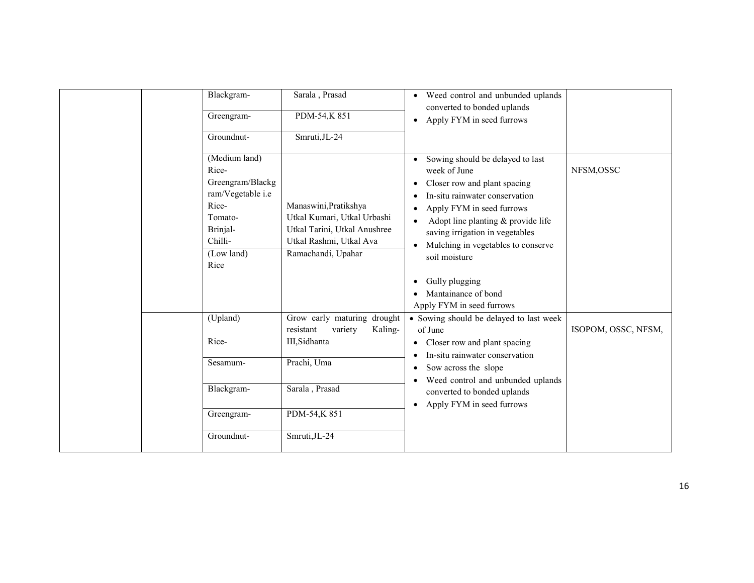| Blackgram-<br>Greengram-<br>Groundnut-                                                                                           | Sarala, Prasad<br>PDM-54,K851<br>Smruti, JL-24                                                                                                   | Weed control and unbunded uplands<br>$\bullet$<br>converted to bonded uplands<br>Apply FYM in seed furrows<br>$\bullet$                                                                                                                                                                                                                                                      |                     |
|----------------------------------------------------------------------------------------------------------------------------------|--------------------------------------------------------------------------------------------------------------------------------------------------|------------------------------------------------------------------------------------------------------------------------------------------------------------------------------------------------------------------------------------------------------------------------------------------------------------------------------------------------------------------------------|---------------------|
| (Medium land)<br>Rice-<br>Greengram/Blackg<br>ram/Vegetable i.e<br>Rice-<br>Tomato-<br>Brinjal-<br>Chilli-<br>(Low land)<br>Rice | Manaswini, Pratikshya<br>Utkal Kumari, Utkal Urbashi<br>Utkal Tarini, Utkal Anushree<br>Utkal Rashmi, Utkal Ava<br>Ramachandi, Upahar            | Sowing should be delayed to last<br>$\bullet$<br>week of June<br>Closer row and plant spacing<br>٠<br>In-situ rainwater conservation<br>Apply FYM in seed furrows<br>Adopt line planting & provide life<br>saving irrigation in vegetables<br>Mulching in vegetables to conserve<br>soil moisture<br>Gully plugging<br>٠<br>Mantainance of bond<br>Apply FYM in seed furrows | NFSM,OSSC           |
| (Upland)<br>Rice-<br>Sesamum-<br>Blackgram-<br>Greengram-<br>Groundnut-                                                          | Grow early maturing drought<br>resistant<br>variety<br>Kaling-<br>III, Sidhanta<br>Prachi, Uma<br>Sarala, Prasad<br>PDM-54,K851<br>Smruti, JL-24 | • Sowing should be delayed to last week<br>of June<br>Closer row and plant spacing<br>٠<br>In-situ rainwater conservation<br>٠<br>Sow across the slope<br>٠<br>Weed control and unbunded uplands<br>٠<br>converted to bonded uplands<br>Apply FYM in seed furrows<br>$\bullet$                                                                                               | ISOPOM, OSSC, NFSM, |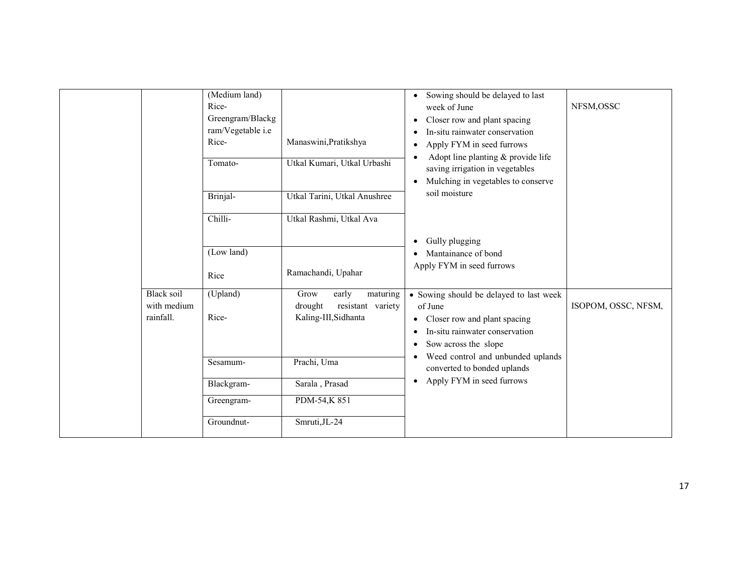|                                               | (Medium land)<br>Rice-<br>Greengram/Blackg<br>ram/Vegetable i.e<br>Rice-<br>Tomato-<br>Brinjal-<br>Chilli-<br>(Low land) | Manaswini, Pratikshya<br>Utkal Kumari, Utkal Urbashi<br>Utkal Tarini, Utkal Anushree<br>Utkal Rashmi, Utkal Ava | Sowing should be delayed to last<br>$\bullet$<br>week of June<br>Closer row and plant spacing<br>In-situ rainwater conservation<br>Apply FYM in seed furrows<br>$\bullet$<br>Adopt line planting & provide life<br>saving irrigation in vegetables<br>Mulching in vegetables to conserve<br>soil moisture<br>Gully plugging<br>Mantainance of bond | NFSM, OSSC          |
|-----------------------------------------------|--------------------------------------------------------------------------------------------------------------------------|-----------------------------------------------------------------------------------------------------------------|----------------------------------------------------------------------------------------------------------------------------------------------------------------------------------------------------------------------------------------------------------------------------------------------------------------------------------------------------|---------------------|
|                                               | Rice                                                                                                                     | Ramachandi, Upahar                                                                                              | Apply FYM in seed furrows                                                                                                                                                                                                                                                                                                                          |                     |
| <b>Black soil</b><br>with medium<br>rainfall. | (Upland)<br>Rice-                                                                                                        | Grow<br>early<br>maturing<br>resistant variety<br>drought<br>Kaling-III, Sidhanta                               | • Sowing should be delayed to last week<br>of June<br>Closer row and plant spacing<br>$\bullet$<br>In-situ rainwater conservation<br>$\bullet$<br>Sow across the slope<br>Weed control and unbunded uplands                                                                                                                                        | ISOPOM, OSSC, NFSM, |
|                                               | Sesamum-<br>Blackgram-<br>Greengram-                                                                                     | Prachi, Uma<br>Sarala, Prasad<br>PDM-54,K851                                                                    | converted to bonded uplands<br>Apply FYM in seed furrows                                                                                                                                                                                                                                                                                           |                     |
|                                               | Groundnut-                                                                                                               | Smruti, JL-24                                                                                                   |                                                                                                                                                                                                                                                                                                                                                    |                     |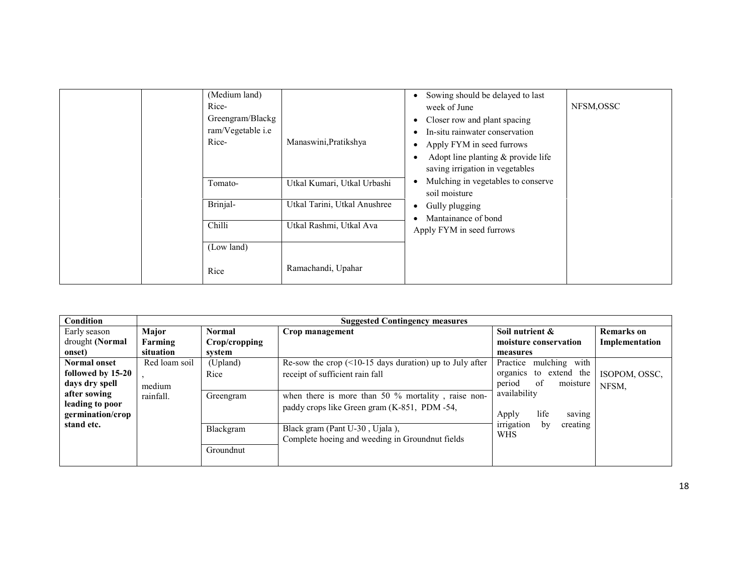| (Medium land)<br>Rice-<br>Greengram/Blackg<br>ram/Vegetable i.e<br>Rice- | Manaswini, Pratikshya        | Sowing should be delayed to last<br>week of June<br>Closer row and plant spacing<br>٠<br>In-situ rainwater conservation<br>Apply FYM in seed furrows<br>٠<br>Adopt line planting & provide life<br>saving irrigation in vegetables | NFSM,OSSC |
|--------------------------------------------------------------------------|------------------------------|------------------------------------------------------------------------------------------------------------------------------------------------------------------------------------------------------------------------------------|-----------|
| Tomato-                                                                  | Utkal Kumari, Utkal Urbashi  | Mulching in vegetables to conserve<br>soil moisture                                                                                                                                                                                |           |
| Brinjal-                                                                 | Utkal Tarini, Utkal Anushree | Gully plugging<br>٠<br>Mantainance of bond                                                                                                                                                                                         |           |
| Chilli                                                                   | Utkal Rashmi, Utkal Ava      | Apply FYM in seed furrows                                                                                                                                                                                                          |           |
| (Low land)                                                               |                              |                                                                                                                                                                                                                                    |           |
| Rice                                                                     | Ramachandi, Upahar           |                                                                                                                                                                                                                                    |           |

| Condition           |               |               | <b>Suggested Contingency measures</b>                       |                              |                   |
|---------------------|---------------|---------------|-------------------------------------------------------------|------------------------------|-------------------|
| Early season        | Major         | Normal        | Crop management                                             | Soil nutrient &              | <b>Remarks</b> on |
| drought (Normal     | Farming       | Crop/cropping |                                                             | moisture conservation        | Implementation    |
| onset)              | situation     | system        |                                                             | measures                     |                   |
| <b>Normal onset</b> | Red loam soil | (Upland)      | Re-sow the crop $($ < 10-15 days duration) up to July after | with<br>mulching<br>Practice |                   |
| followed by 15-20   |               | Rice          | receipt of sufficient rain fall                             | organics to extend the       | ISOPOM, OSSC,     |
| days dry spell      | medium        |               |                                                             | -of<br>period<br>moisture    | NFSM,             |
| after sowing        | rainfall.     | Greengram     | when there is more than 50 $\%$ mortality, raise non-       | availability                 |                   |
| leading to poor     |               |               | paddy crops like Green gram (K-851, PDM-54,                 |                              |                   |
| germination/crop    |               |               |                                                             | life<br>Apply<br>saving      |                   |
| stand etc.          |               | Blackgram     | Black gram (Pant U-30, Ujala),                              | irrigation<br>creating<br>bv |                   |
|                     |               |               | Complete hoeing and weeding in Groundnut fields             | <b>WHS</b>                   |                   |
|                     |               | Groundnut     |                                                             |                              |                   |
|                     |               |               |                                                             |                              |                   |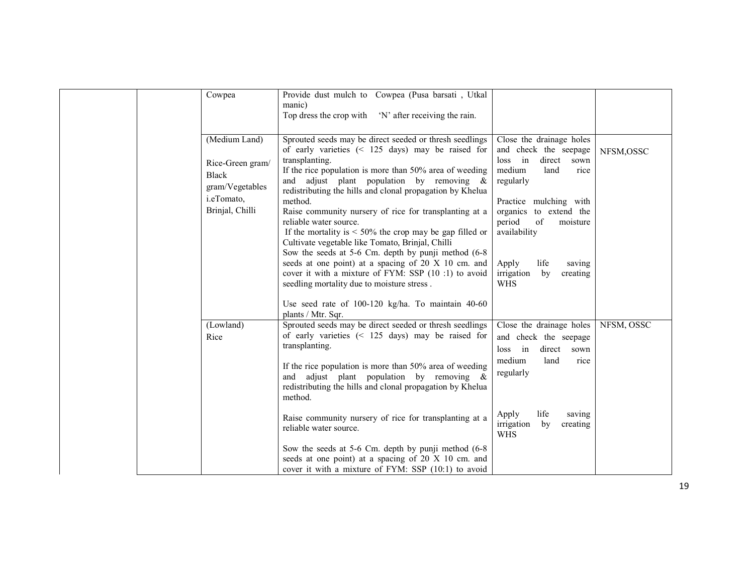| Cowpea                                                                                                | Provide dust mulch to Cowpea (Pusa barsati, Utkal<br>manic)<br>Top dress the crop with 'N' after receiving the rain.                                                                                                                                                                                                                                                                                                                                                                                                                                                                                                                                                                                                                                                                                                        |                                                                                                                                                                                                                                                                                                  |            |
|-------------------------------------------------------------------------------------------------------|-----------------------------------------------------------------------------------------------------------------------------------------------------------------------------------------------------------------------------------------------------------------------------------------------------------------------------------------------------------------------------------------------------------------------------------------------------------------------------------------------------------------------------------------------------------------------------------------------------------------------------------------------------------------------------------------------------------------------------------------------------------------------------------------------------------------------------|--------------------------------------------------------------------------------------------------------------------------------------------------------------------------------------------------------------------------------------------------------------------------------------------------|------------|
| (Medium Land)<br>Rice-Green gram/<br><b>Black</b><br>gram/Vegetables<br>i.eTomato,<br>Brinjal, Chilli | Sprouted seeds may be direct seeded or thresh seedlings<br>of early varieties $($ 125 days) may be raised for<br>transplanting.<br>If the rice population is more than 50% area of weeding<br>and adjust plant population by removing $\&$<br>redistributing the hills and clonal propagation by Khelua<br>method.<br>Raise community nursery of rice for transplanting at a<br>reliable water source.<br>If the mortality is $\leq 50\%$ the crop may be gap filled or<br>Cultivate vegetable like Tomato, Brinjal, Chilli<br>Sow the seeds at 5-6 Cm. depth by punji method (6-8)<br>seeds at one point) at a spacing of 20 X 10 cm. and<br>cover it with a mixture of FYM: SSP (10 :1) to avoid<br>seedling mortality due to moisture stress.<br>Use seed rate of 100-120 kg/ha. To maintain 40-60<br>plants / Mtr. Sqr. | Close the drainage holes<br>and check the seepage<br>$loss$ in<br>direct<br>sown<br>medium<br>land<br>rice<br>regularly<br>Practice mulching with<br>organics to extend the<br>period<br>of<br>moisture<br>availability<br>life<br>Apply<br>saving<br>by<br>irrigation<br>creating<br><b>WHS</b> | NFSM,OSSC  |
| (Lowland)<br>Rice                                                                                     | Sprouted seeds may be direct seeded or thresh seedlings<br>of early varieties $(125 days) may be raised for$<br>transplanting.<br>If the rice population is more than 50% area of weeding<br>and adjust plant population by removing $\&$<br>redistributing the hills and clonal propagation by Khelua<br>method.<br>Raise community nursery of rice for transplanting at a<br>reliable water source.<br>Sow the seeds at 5-6 Cm. depth by punji method (6-8<br>seeds at one point) at a spacing of 20 X 10 cm. and<br>cover it with a mixture of FYM: SSP (10:1) to avoid                                                                                                                                                                                                                                                  | Close the drainage holes<br>and check the seepage<br>loss in<br>direct sown<br>medium<br>land<br>rice<br>regularly<br>life<br>Apply<br>saving<br>irrigation<br>by<br>creating<br><b>WHS</b>                                                                                                      | NFSM, OSSC |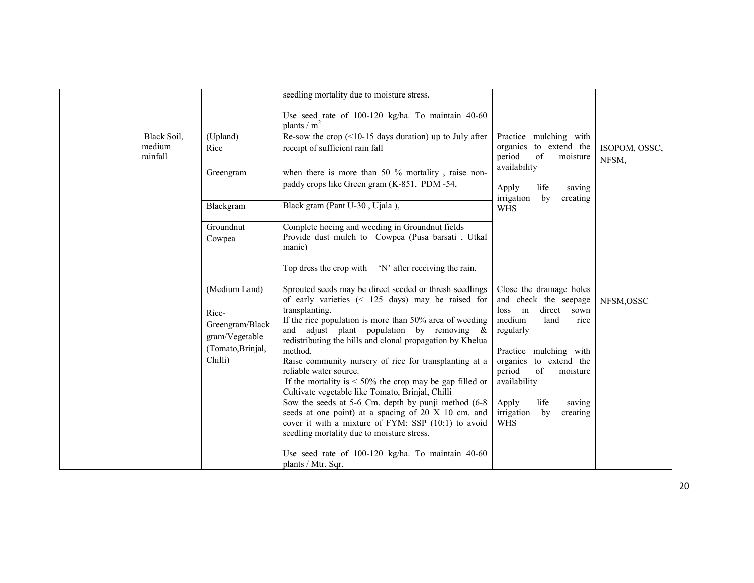|                                   |                                                                                             | seedling mortality due to moisture stress.                                                                                                                                                                                                                                                                                                                                                                                                                                                                                                                                                                                                                                                                                                     |                                                                                                                                                                                                                                                                                                |                        |
|-----------------------------------|---------------------------------------------------------------------------------------------|------------------------------------------------------------------------------------------------------------------------------------------------------------------------------------------------------------------------------------------------------------------------------------------------------------------------------------------------------------------------------------------------------------------------------------------------------------------------------------------------------------------------------------------------------------------------------------------------------------------------------------------------------------------------------------------------------------------------------------------------|------------------------------------------------------------------------------------------------------------------------------------------------------------------------------------------------------------------------------------------------------------------------------------------------|------------------------|
|                                   |                                                                                             | Use seed rate of 100-120 kg/ha. To maintain 40-60<br>plants / $m2$                                                                                                                                                                                                                                                                                                                                                                                                                                                                                                                                                                                                                                                                             |                                                                                                                                                                                                                                                                                                |                        |
| Black Soil,<br>medium<br>rainfall | (Upland)<br>Rice                                                                            | Re-sow the crop $($ <10-15 days duration) up to July after<br>receipt of sufficient rain fall                                                                                                                                                                                                                                                                                                                                                                                                                                                                                                                                                                                                                                                  | Practice mulching with<br>organics to extend the<br>period<br>of<br>moisture                                                                                                                                                                                                                   | ISOPOM, OSSC,<br>NFSM, |
|                                   | Greengram                                                                                   | when there is more than 50 $\%$ mortality, raise non-<br>paddy crops like Green gram (K-851, PDM-54,                                                                                                                                                                                                                                                                                                                                                                                                                                                                                                                                                                                                                                           | availability<br>Apply<br>life<br>saving                                                                                                                                                                                                                                                        |                        |
|                                   | Blackgram                                                                                   | Black gram (Pant U-30, Ujala),                                                                                                                                                                                                                                                                                                                                                                                                                                                                                                                                                                                                                                                                                                                 | irrigation<br>by<br>creating<br><b>WHS</b>                                                                                                                                                                                                                                                     |                        |
|                                   | Groundnut<br>Cowpea                                                                         | Complete hoeing and weeding in Groundnut fields<br>Provide dust mulch to Cowpea (Pusa barsati, Utkal<br>manic)                                                                                                                                                                                                                                                                                                                                                                                                                                                                                                                                                                                                                                 |                                                                                                                                                                                                                                                                                                |                        |
|                                   |                                                                                             | Top dress the crop with 'N' after receiving the rain.                                                                                                                                                                                                                                                                                                                                                                                                                                                                                                                                                                                                                                                                                          |                                                                                                                                                                                                                                                                                                |                        |
|                                   | (Medium Land)<br>Rice-<br>Greengram/Black<br>gram/Vegetable<br>(Tomato, Brinjal,<br>Chilli) | Sprouted seeds may be direct seeded or thresh seedlings<br>of early varieties $(125 days) may be raised for$<br>transplanting.<br>If the rice population is more than 50% area of weeding<br>and adjust plant population by removing $\&$<br>redistributing the hills and clonal propagation by Khelua<br>method.<br>Raise community nursery of rice for transplanting at a<br>reliable water source.<br>If the mortality is $\leq 50\%$ the crop may be gap filled or<br>Cultivate vegetable like Tomato, Brinjal, Chilli<br>Sow the seeds at 5-6 Cm. depth by punji method (6-8)<br>seeds at one point) at a spacing of 20 X 10 cm. and<br>cover it with a mixture of FYM: SSP (10:1) to avoid<br>seedling mortality due to moisture stress. | Close the drainage holes<br>and check the seepage<br>direct<br>loss in<br>sown<br>medium<br>land<br>rice<br>regularly<br>Practice mulching with<br>organics to extend the<br>period<br>of<br>moisture<br>availability<br>life<br>Apply<br>saving<br>irrigation<br>by<br>creating<br><b>WHS</b> | NFSM,OSSC              |
|                                   |                                                                                             | Use seed rate of 100-120 kg/ha. To maintain 40-60<br>plants / Mtr. Sqr.                                                                                                                                                                                                                                                                                                                                                                                                                                                                                                                                                                                                                                                                        |                                                                                                                                                                                                                                                                                                |                        |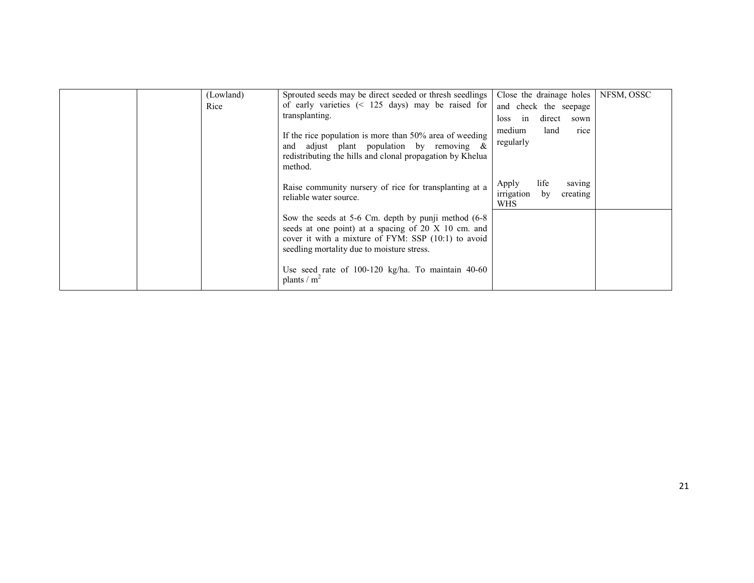|  | (Lowland)<br>Rice | Sprouted seeds may be direct seeded or thresh seedlings<br>of early varieties $\left( \leq 125 \text{ days} \right)$ may be raised for<br>transplanting.                                                         | Close the drainage holes<br>and check the seepage<br>direct<br>in<br>loss<br>sown | NFSM, OSSC |
|--|-------------------|------------------------------------------------------------------------------------------------------------------------------------------------------------------------------------------------------------------|-----------------------------------------------------------------------------------|------------|
|  |                   | If the rice population is more than 50% area of weeding<br>and adjust plant population by removing $\&$<br>redistributing the hills and clonal propagation by Khelua<br>method.                                  | medium<br>land<br>rice<br>regularly                                               |            |
|  |                   | Raise community nursery of rice for transplanting at a<br>reliable water source.                                                                                                                                 | life<br>Apply<br>saving<br>irrigation<br>by<br>creating<br><b>WHS</b>             |            |
|  |                   | Sow the seeds at 5-6 Cm. depth by punji method (6-8)<br>seeds at one point) at a spacing of 20 X 10 cm. and<br>cover it with a mixture of FYM: SSP (10:1) to avoid<br>seedling mortality due to moisture stress. |                                                                                   |            |
|  |                   | Use seed rate of $100-120$ kg/ha. To maintain $40-60$<br>plants / $m^2$                                                                                                                                          |                                                                                   |            |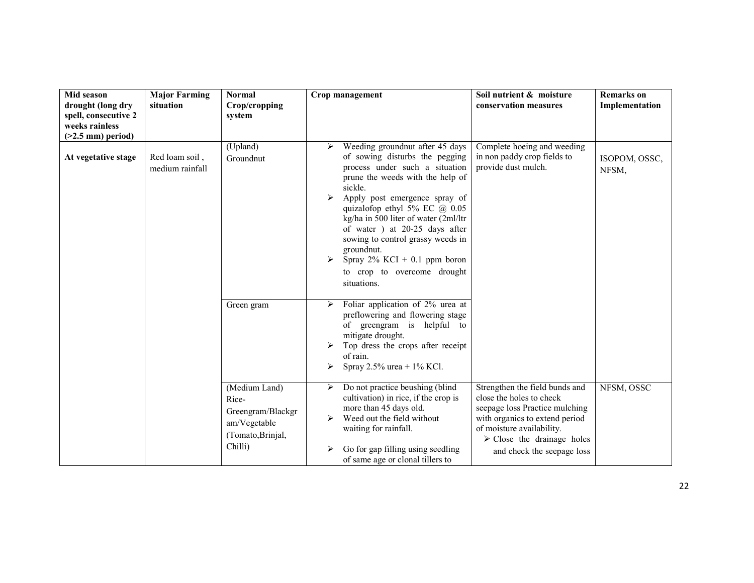| Mid season<br>drought (long dry<br>spell, consecutive 2<br>weeks rainless<br>$($ >2.5 mm) period) | <b>Major Farming</b><br>situation | <b>Normal</b><br>Crop/cropping<br>system                                                    | Crop management                                                                                                                                                                                                                                                                                                                                                                                                                                     | Soil nutrient & moisture<br>conservation measures                                                                                                                                                                                      | <b>Remarks</b> on<br>Implementation |
|---------------------------------------------------------------------------------------------------|-----------------------------------|---------------------------------------------------------------------------------------------|-----------------------------------------------------------------------------------------------------------------------------------------------------------------------------------------------------------------------------------------------------------------------------------------------------------------------------------------------------------------------------------------------------------------------------------------------------|----------------------------------------------------------------------------------------------------------------------------------------------------------------------------------------------------------------------------------------|-------------------------------------|
| At vegetative stage                                                                               | Red loam soil,<br>medium rainfall | (Upland)<br>Groundnut                                                                       | Weeding groundnut after 45 days<br>≻<br>of sowing disturbs the pegging<br>process under such a situation<br>prune the weeds with the help of<br>sickle.<br>Apply post emergence spray of<br>➤<br>quizalofop ethyl 5% EC $@$ 0.05<br>kg/ha in 500 liter of water (2ml/ltr<br>of water ) at 20-25 days after<br>sowing to control grassy weeds in<br>groundnut.<br>Spray $2\%$ KCI + 0.1 ppm boron<br>➤<br>to crop to overcome drought<br>situations. | Complete hoeing and weeding<br>in non paddy crop fields to<br>provide dust mulch.                                                                                                                                                      | ISOPOM, OSSC,<br>NFSM,              |
|                                                                                                   |                                   | Green gram                                                                                  | Foliar application of 2% urea at<br>➤<br>preflowering and flowering stage<br>of greengram is helpful to<br>mitigate drought.<br>Top dress the crops after receipt<br>of rain.<br>Spray 2.5% urea + $1\%$ KCl.<br>➤                                                                                                                                                                                                                                  |                                                                                                                                                                                                                                        |                                     |
|                                                                                                   |                                   | (Medium Land)<br>Rice-<br>Greengram/Blackgr<br>am/Vegetable<br>(Tomato, Brinjal,<br>Chilli) | Do not practice beushing (blind<br>➤<br>cultivation) in rice, if the crop is<br>more than 45 days old.<br>Weed out the field without<br>➤<br>waiting for rainfall.<br>Go for gap filling using seedling<br>≻<br>of same age or clonal tillers to                                                                                                                                                                                                    | Strengthen the field bunds and<br>close the holes to check<br>seepage loss Practice mulching<br>with organics to extend period<br>of moisture availability.<br>$\triangleright$ Close the drainage holes<br>and check the seepage loss | NFSM, OSSC                          |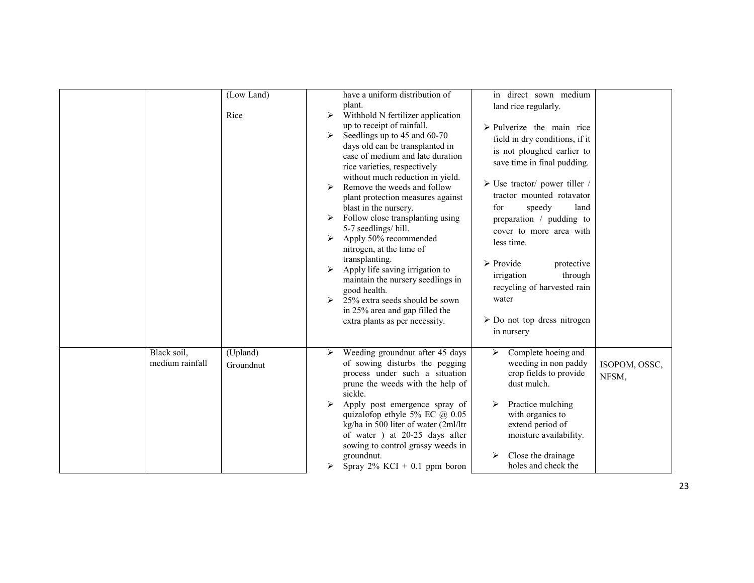|                                | (Low Land)<br>Rice    | have a uniform distribution of<br>in direct sown medium<br>plant.<br>land rice regularly.<br>Withhold N fertilizer application<br>$\blacktriangleright$<br>up to receipt of rainfall.<br>$\triangleright$ Pulverize the main rice<br>Seedlings up to 45 and 60-70<br>$\triangleright$<br>field in dry conditions, if it<br>days old can be transplanted in<br>is not ploughed earlier to<br>case of medium and late duration<br>save time in final pudding.<br>rice varieties, respectively<br>without much reduction in yield.<br>$\triangleright$ Use tractor/ power tiller /<br>Remove the weeds and follow<br>$\triangleright$<br>tractor mounted rotavator<br>plant protection measures against<br>blast in the nursery.<br>speedy<br>for<br>land<br>Follow close transplanting using<br>➤<br>preparation / pudding to<br>5-7 seedlings/hill.<br>cover to more area with<br>Apply 50% recommended<br>$\blacktriangleright$<br>less time.<br>nitrogen, at the time of<br>transplanting.<br>$\triangleright$ Provide<br>protective<br>Apply life saving irrigation to<br>irrigation<br>through<br>maintain the nursery seedlings in<br>recycling of harvested rain<br>good health.<br>water<br>25% extra seeds should be sown<br>$\triangleright$<br>in 25% area and gap filled the<br>$\triangleright$ Do not top dress nitrogen<br>extra plants as per necessity.<br>in nursery |
|--------------------------------|-----------------------|--------------------------------------------------------------------------------------------------------------------------------------------------------------------------------------------------------------------------------------------------------------------------------------------------------------------------------------------------------------------------------------------------------------------------------------------------------------------------------------------------------------------------------------------------------------------------------------------------------------------------------------------------------------------------------------------------------------------------------------------------------------------------------------------------------------------------------------------------------------------------------------------------------------------------------------------------------------------------------------------------------------------------------------------------------------------------------------------------------------------------------------------------------------------------------------------------------------------------------------------------------------------------------------------------------------------------------------------------------------------------------------|
| Black soil,<br>medium rainfall | (Upland)<br>Groundnut | Weeding groundnut after 45 days<br>Complete hoeing and<br>$\triangleright$<br>➤<br>of sowing disturbs the pegging<br>weeding in non paddy<br>ISOPOM, OSSC,<br>process under such a situation<br>crop fields to provide<br>NFSM,<br>prune the weeds with the help of<br>dust mulch.<br>sickle.<br>Apply post emergence spray of<br>Practice mulching<br>quizalofop ethyle 5% EC $(a)$ 0.05<br>with organics to<br>kg/ha in 500 liter of water (2ml/ltr<br>extend period of<br>of water ) at 20-25 days after<br>moisture availability.<br>sowing to control grassy weeds in<br>groundnut.<br>Close the drainage<br>holes and check the<br>Spray $2\%$ KCI + 0.1 ppm boron                                                                                                                                                                                                                                                                                                                                                                                                                                                                                                                                                                                                                                                                                                             |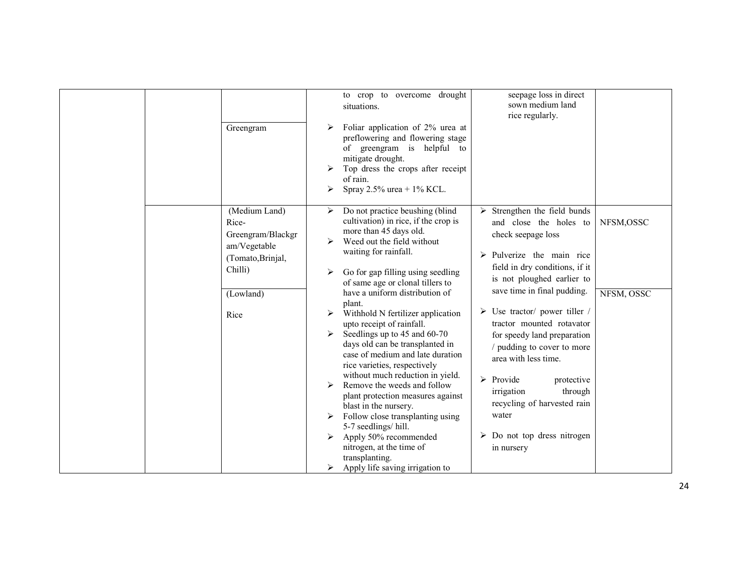| Greengram                                                                                                        | to crop to overcome drought<br>situations.<br>Foliar application of 2% urea at<br>preflowering and flowering stage<br>of greengram is helpful to<br>mitigate drought.<br>Top dress the crops after receipt<br>of rain.<br>Spray 2.5% urea + $1\%$ KCL.<br>➤                                                                                                                                                                                                                                                                                                                                                                                                                                                                                                                                                                | seepage loss in direct<br>sown medium land<br>rice regularly.                                                                                                                                                                                                                                                                                                                                                                                                                                                                                           |                         |
|------------------------------------------------------------------------------------------------------------------|----------------------------------------------------------------------------------------------------------------------------------------------------------------------------------------------------------------------------------------------------------------------------------------------------------------------------------------------------------------------------------------------------------------------------------------------------------------------------------------------------------------------------------------------------------------------------------------------------------------------------------------------------------------------------------------------------------------------------------------------------------------------------------------------------------------------------|---------------------------------------------------------------------------------------------------------------------------------------------------------------------------------------------------------------------------------------------------------------------------------------------------------------------------------------------------------------------------------------------------------------------------------------------------------------------------------------------------------------------------------------------------------|-------------------------|
| (Medium Land)<br>Rice-<br>Greengram/Blackgr<br>am/Vegetable<br>(Tomato, Brinjal,<br>Chilli)<br>(Lowland)<br>Rice | Do not practice beushing (blind<br>➤<br>cultivation) in rice, if the crop is<br>more than 45 days old.<br>Weed out the field without<br>⋗<br>waiting for rainfall.<br>Go for gap filling using seedling<br>➤<br>of same age or clonal tillers to<br>have a uniform distribution of<br>plant.<br>Withhold N fertilizer application<br>≻<br>upto receipt of rainfall.<br>Seedlings up to 45 and 60-70<br>➤<br>days old can be transplanted in<br>case of medium and late duration<br>rice varieties, respectively<br>without much reduction in yield.<br>Remove the weeds and follow<br>plant protection measures against<br>blast in the nursery.<br>Follow close transplanting using<br>5-7 seedlings/hill.<br>Apply 50% recommended<br>≻<br>nitrogen, at the time of<br>transplanting.<br>Apply life saving irrigation to | Strengthen the field bunds<br>➤<br>and close the holes to<br>check seepage loss<br>$\triangleright$ Pulverize the main rice<br>field in dry conditions, if it<br>is not ploughed earlier to<br>save time in final pudding.<br>$\triangleright$ Use tractor/ power tiller /<br>tractor mounted rotavator<br>for speedy land preparation<br>/ pudding to cover to more<br>area with less time.<br>$\triangleright$ Provide<br>protective<br>through<br>irrigation<br>recycling of harvested rain<br>water<br>Do not top dress nitrogen<br>➤<br>in nursery | NFSM,OSSC<br>NFSM, OSSC |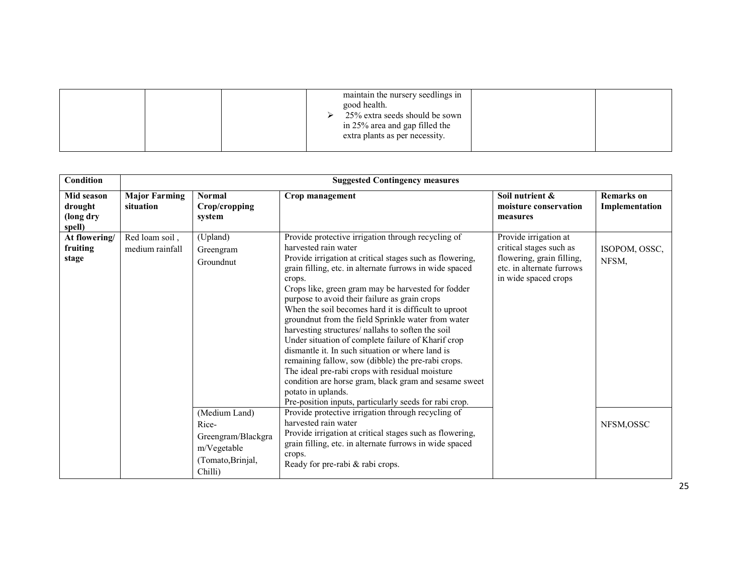| extra plants as per necessity. |  | maintain the nursery seedlings in<br>good health.<br>25% extra seeds should be sown<br>in 25% area and gap filled the |  |  |
|--------------------------------|--|-----------------------------------------------------------------------------------------------------------------------|--|--|
|--------------------------------|--|-----------------------------------------------------------------------------------------------------------------------|--|--|

| <b>Condition</b>                                    | <b>Suggested Contingency measures</b> |                                                                                             |                                                                                                                                                                                                                                                                                                                                                                                                                                                                                                                                                                                                                                                                                                                                                                                                                                                   |                                                                                                                                    |                                     |  |  |  |  |
|-----------------------------------------------------|---------------------------------------|---------------------------------------------------------------------------------------------|---------------------------------------------------------------------------------------------------------------------------------------------------------------------------------------------------------------------------------------------------------------------------------------------------------------------------------------------------------------------------------------------------------------------------------------------------------------------------------------------------------------------------------------------------------------------------------------------------------------------------------------------------------------------------------------------------------------------------------------------------------------------------------------------------------------------------------------------------|------------------------------------------------------------------------------------------------------------------------------------|-------------------------------------|--|--|--|--|
| <b>Mid season</b><br>drought<br>(long dry<br>spell) | <b>Major Farming</b><br>situation     | <b>Normal</b><br>Crop/cropping<br>system                                                    | Crop management                                                                                                                                                                                                                                                                                                                                                                                                                                                                                                                                                                                                                                                                                                                                                                                                                                   | Soil nutrient &<br>moisture conservation<br>measures                                                                               | <b>Remarks</b> on<br>Implementation |  |  |  |  |
| At flowering/<br>fruiting<br>stage                  | Red loam soil,<br>medium rainfall     | (Upland)<br>Greengram<br>Groundnut                                                          | Provide protective irrigation through recycling of<br>harvested rain water<br>Provide irrigation at critical stages such as flowering,<br>grain filling, etc. in alternate furrows in wide spaced<br>crops.<br>Crops like, green gram may be harvested for fodder<br>purpose to avoid their failure as grain crops<br>When the soil becomes hard it is difficult to uproot<br>groundnut from the field Sprinkle water from water<br>harvesting structures/ nallahs to soften the soil<br>Under situation of complete failure of Kharif crop<br>dismantle it. In such situation or where land is<br>remaining fallow, sow (dibble) the pre-rabi crops.<br>The ideal pre-rabi crops with residual moisture<br>condition are horse gram, black gram and sesame sweet<br>potato in uplands.<br>Pre-position inputs, particularly seeds for rabi crop. | Provide irrigation at<br>critical stages such as<br>flowering, grain filling,<br>etc. in alternate furrows<br>in wide spaced crops | ISOPOM, OSSC,<br>NFSM,              |  |  |  |  |
|                                                     |                                       | (Medium Land)<br>Rice-<br>Greengram/Blackgra<br>m/Vegetable<br>(Tomato, Brinjal,<br>Chilli) | Provide protective irrigation through recycling of<br>harvested rain water<br>Provide irrigation at critical stages such as flowering,<br>grain filling, etc. in alternate furrows in wide spaced<br>crops.<br>Ready for pre-rabi & rabi crops.                                                                                                                                                                                                                                                                                                                                                                                                                                                                                                                                                                                                   |                                                                                                                                    | NFSM, OSSC                          |  |  |  |  |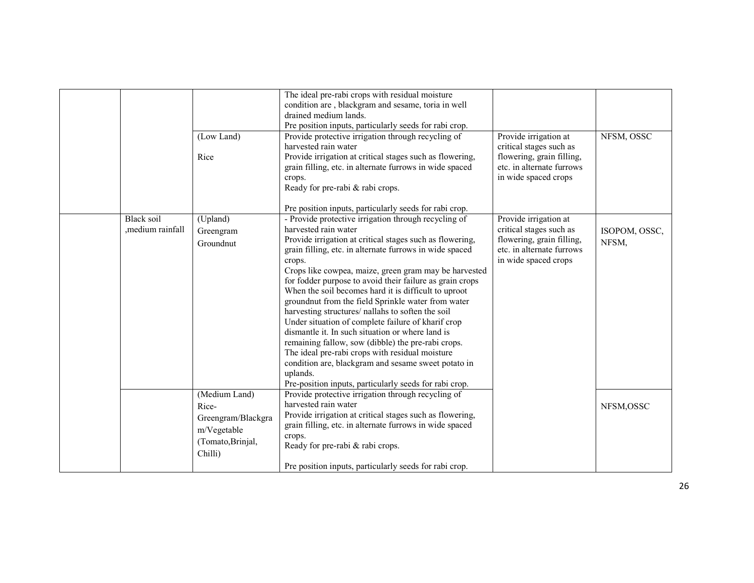|                  |                    | The ideal pre-rabi crops with residual moisture<br>condition are, blackgram and sesame, toria in well |                                                        |               |
|------------------|--------------------|-------------------------------------------------------------------------------------------------------|--------------------------------------------------------|---------------|
|                  |                    | drained medium lands.                                                                                 |                                                        |               |
|                  |                    | Pre position inputs, particularly seeds for rabi crop.                                                |                                                        |               |
|                  | (Low Land)         | Provide protective irrigation through recycling of                                                    | Provide irrigation at                                  | NFSM, OSSC    |
|                  | Rice               | harvested rain water<br>Provide irrigation at critical stages such as flowering,                      | critical stages such as                                |               |
|                  |                    | grain filling, etc. in alternate furrows in wide spaced                                               | flowering, grain filling,<br>etc. in alternate furrows |               |
|                  |                    | crops.                                                                                                | in wide spaced crops                                   |               |
|                  |                    | Ready for pre-rabi & rabi crops.                                                                      |                                                        |               |
|                  |                    |                                                                                                       |                                                        |               |
|                  |                    | Pre position inputs, particularly seeds for rabi crop.                                                |                                                        |               |
| Black soil       | (Upland)           | - Provide protective irrigation through recycling of                                                  | Provide irrigation at                                  |               |
| ,medium rainfall | Greengram          | harvested rain water                                                                                  | critical stages such as                                | ISOPOM, OSSC, |
|                  | Groundnut          | Provide irrigation at critical stages such as flowering,                                              | flowering, grain filling,                              | NFSM,         |
|                  |                    | grain filling, etc. in alternate furrows in wide spaced                                               | etc. in alternate furrows                              |               |
|                  |                    | crops.<br>Crops like cowpea, maize, green gram may be harvested                                       | in wide spaced crops                                   |               |
|                  |                    | for fodder purpose to avoid their failure as grain crops                                              |                                                        |               |
|                  |                    | When the soil becomes hard it is difficult to uproot                                                  |                                                        |               |
|                  |                    | groundnut from the field Sprinkle water from water                                                    |                                                        |               |
|                  |                    | harvesting structures/ nallahs to soften the soil                                                     |                                                        |               |
|                  |                    | Under situation of complete failure of kharif crop                                                    |                                                        |               |
|                  |                    | dismantle it. In such situation or where land is                                                      |                                                        |               |
|                  |                    | remaining fallow, sow (dibble) the pre-rabi crops.                                                    |                                                        |               |
|                  |                    | The ideal pre-rabi crops with residual moisture                                                       |                                                        |               |
|                  |                    | condition are, blackgram and sesame sweet potato in                                                   |                                                        |               |
|                  |                    | uplands.<br>Pre-position inputs, particularly seeds for rabi crop.                                    |                                                        |               |
|                  | (Medium Land)      | Provide protective irrigation through recycling of                                                    |                                                        |               |
|                  | Rice-              | harvested rain water                                                                                  |                                                        | NFSM, OSSC    |
|                  | Greengram/Blackgra | Provide irrigation at critical stages such as flowering,                                              |                                                        |               |
|                  | m/Vegetable        | grain filling, etc. in alternate furrows in wide spaced                                               |                                                        |               |
|                  | (Tomato, Brinjal,  | crops.                                                                                                |                                                        |               |
|                  | Chilli)            | Ready for pre-rabi & rabi crops.                                                                      |                                                        |               |
|                  |                    | Pre position inputs, particularly seeds for rabi crop.                                                |                                                        |               |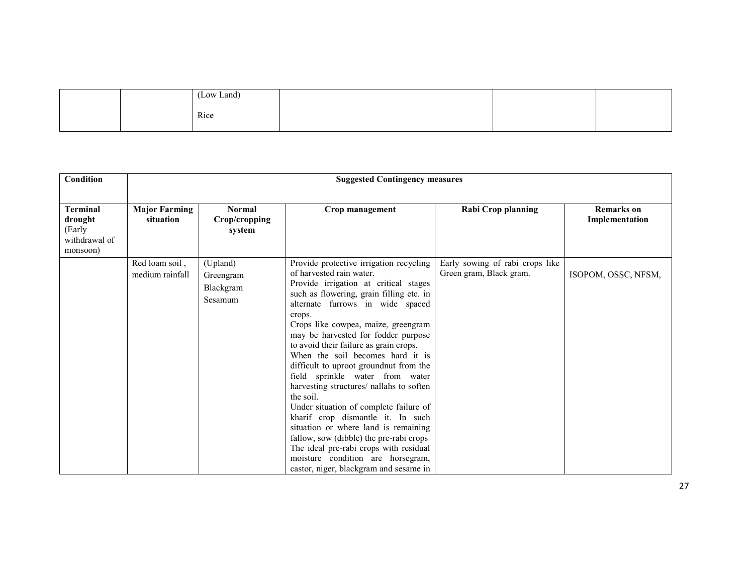| (Low Land) |  |
|------------|--|
| Rice       |  |

| Condition                                                         | <b>Suggested Contingency measures</b>                                         |                                               |                                                                                                                                                                                                                                                                                                                                                                                                                                                                                                                                                                                                                                                                                                                                                                                                      |                                                            |                                     |  |  |
|-------------------------------------------------------------------|-------------------------------------------------------------------------------|-----------------------------------------------|------------------------------------------------------------------------------------------------------------------------------------------------------------------------------------------------------------------------------------------------------------------------------------------------------------------------------------------------------------------------------------------------------------------------------------------------------------------------------------------------------------------------------------------------------------------------------------------------------------------------------------------------------------------------------------------------------------------------------------------------------------------------------------------------------|------------------------------------------------------------|-------------------------------------|--|--|
| <b>Terminal</b><br>drought<br>(Early<br>withdrawal of<br>monsoon) | <b>Major Farming</b><br><b>Normal</b><br>Crop/cropping<br>situation<br>system |                                               | Crop management                                                                                                                                                                                                                                                                                                                                                                                                                                                                                                                                                                                                                                                                                                                                                                                      | Rabi Crop planning                                         | <b>Remarks</b> on<br>Implementation |  |  |
|                                                                   | Red loam soil.<br>medium rainfall                                             | (Upland)<br>Greengram<br>Blackgram<br>Sesamum | Provide protective irrigation recycling<br>of harvested rain water.<br>Provide irrigation at critical stages<br>such as flowering, grain filling etc. in<br>alternate furrows in wide spaced<br>crops.<br>Crops like cowpea, maize, greengram<br>may be harvested for fodder purpose<br>to avoid their failure as grain crops.<br>When the soil becomes hard it is<br>difficult to uproot ground nut from the<br>field sprinkle water from water<br>harvesting structures/ nallahs to soften<br>the soil.<br>Under situation of complete failure of<br>kharif crop dismantle it. In such<br>situation or where land is remaining<br>fallow, sow (dibble) the pre-rabi crops<br>The ideal pre-rabi crops with residual<br>moisture condition are horsegram,<br>castor, niger, blackgram and sesame in | Early sowing of rabi crops like<br>Green gram, Black gram. | ISOPOM, OSSC, NFSM,                 |  |  |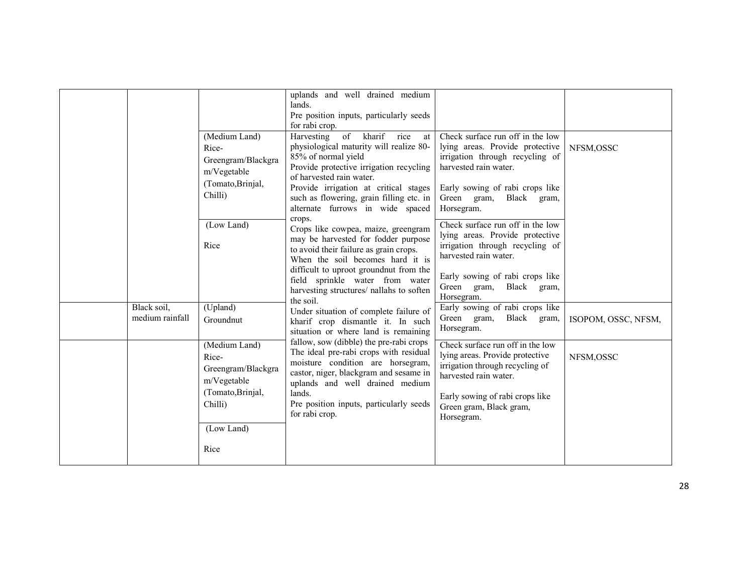|                 |                    | uplands and well drained medium                                             |                                  |                     |
|-----------------|--------------------|-----------------------------------------------------------------------------|----------------------------------|---------------------|
|                 |                    | lands.                                                                      |                                  |                     |
|                 |                    | Pre position inputs, particularly seeds                                     |                                  |                     |
|                 |                    | for rabi crop.                                                              |                                  |                     |
|                 | (Medium Land)      | of kharif<br>Harvesting<br>rice<br>at                                       | Check surface run off in the low |                     |
|                 | Rice-              | physiological maturity will realize 80-                                     | lying areas. Provide protective  | NFSM, OSSC          |
|                 | Greengram/Blackgra | 85% of normal yield                                                         | irrigation through recycling of  |                     |
|                 | m/Vegetable        | Provide protective irrigation recycling<br>of harvested rain water.         | harvested rain water.            |                     |
|                 | (Tomato, Brinjal,  | Provide irrigation at critical stages                                       | Early sowing of rabi crops like  |                     |
|                 | Chilli)            | such as flowering, grain filling etc. in                                    | Green gram,<br>Black<br>gram,    |                     |
|                 |                    | alternate furrows in wide spaced                                            | Horsegram.                       |                     |
|                 | (Low Land)         | crops.<br>Crops like cowpea, maize, greengram                               | Check surface run off in the low |                     |
|                 |                    | may be harvested for fodder purpose                                         | lying areas. Provide protective  |                     |
|                 | Rice               | to avoid their failure as grain crops.                                      | irrigation through recycling of  |                     |
|                 |                    | When the soil becomes hard it is                                            | harvested rain water.            |                     |
|                 |                    | difficult to uproot groundnut from the                                      | Early sowing of rabi crops like  |                     |
|                 |                    | field sprinkle water from water                                             | Green gram,<br>Black gram,       |                     |
|                 |                    | harvesting structures/ nallahs to soften<br>the soil.                       | Horsegram.                       |                     |
| Black soil,     | (Upland)           | Under situation of complete failure of                                      | Early sowing of rabi crops like  |                     |
| medium rainfall | Groundnut          | kharif crop dismantle it. In such                                           | Black gram,<br>Green gram,       | ISOPOM, OSSC, NFSM, |
|                 |                    | situation or where land is remaining                                        | Horsegram.                       |                     |
|                 | (Medium Land)      | fallow, sow (dibble) the pre-rabi crops                                     | Check surface run off in the low |                     |
|                 | Rice-              | The ideal pre-rabi crops with residual                                      | lying areas. Provide protective  | NFSM, OSSC          |
|                 | Greengram/Blackgra | moisture condition are horsegram,<br>castor, niger, blackgram and sesame in | irrigation through recycling of  |                     |
|                 | m/Vegetable        | uplands and well drained medium                                             | harvested rain water.            |                     |
|                 | (Tomato, Brinjal,  | lands.                                                                      | Early sowing of rabi crops like  |                     |
|                 | Chilli)            | Pre position inputs, particularly seeds                                     | Green gram, Black gram,          |                     |
|                 |                    | for rabi crop.                                                              | Horsegram.                       |                     |
|                 | (Low Land)         |                                                                             |                                  |                     |
|                 |                    |                                                                             |                                  |                     |
|                 | Rice               |                                                                             |                                  |                     |
|                 |                    |                                                                             |                                  |                     |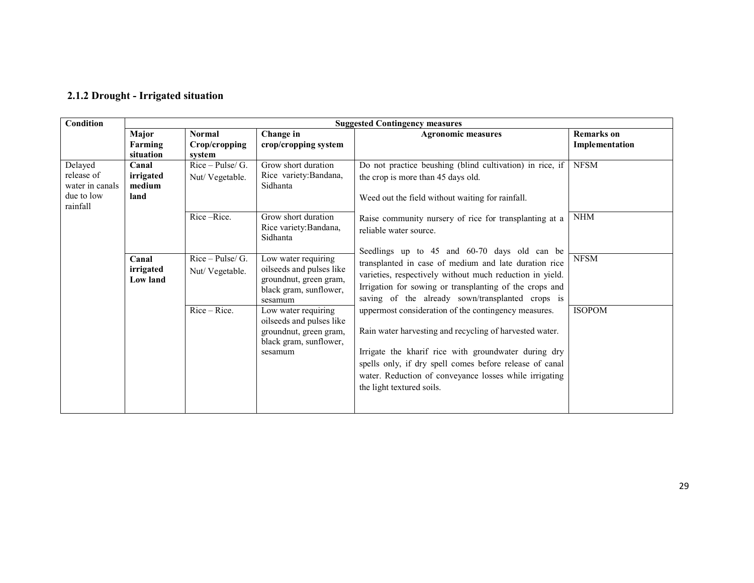### 2.1.2 Drought - Irrigated situation

| <b>Condition</b>                                                   | <b>Suggested Contingency measures</b>                                                                                                                                                                                                                                                                                                                                                                        |                                                                                                                                                                                                                                                                                                                           |                                                           |                                                                                                                                                                                                                                                                                  |                                     |  |  |  |  |
|--------------------------------------------------------------------|--------------------------------------------------------------------------------------------------------------------------------------------------------------------------------------------------------------------------------------------------------------------------------------------------------------------------------------------------------------------------------------------------------------|---------------------------------------------------------------------------------------------------------------------------------------------------------------------------------------------------------------------------------------------------------------------------------------------------------------------------|-----------------------------------------------------------|----------------------------------------------------------------------------------------------------------------------------------------------------------------------------------------------------------------------------------------------------------------------------------|-------------------------------------|--|--|--|--|
|                                                                    | Major<br>Farming<br>situation                                                                                                                                                                                                                                                                                                                                                                                | <b>Normal</b><br>Crop/cropping<br>system                                                                                                                                                                                                                                                                                  | Change in<br>crop/cropping system                         | <b>Agronomic measures</b>                                                                                                                                                                                                                                                        | <b>Remarks</b> on<br>Implementation |  |  |  |  |
| Delayed<br>release of<br>water in canals<br>due to low<br>rainfall | Canal<br>irrigated<br>medium<br>land                                                                                                                                                                                                                                                                                                                                                                         | $Rice-Pulse/G.$<br>Nut/Vegetable.                                                                                                                                                                                                                                                                                         | Grow short duration<br>Rice variety: Bandana,<br>Sidhanta | Do not practice beushing (blind cultivation) in rice, if<br>the crop is more than 45 days old.<br>Weed out the field without waiting for rainfall.                                                                                                                               | <b>NFSM</b>                         |  |  |  |  |
|                                                                    | Rice-Rice.<br>Grow short duration<br>Rice variety: Bandana,<br>Sidhanta<br>$Rice-Pulse/G.$<br>Low water requiring<br>Canal<br>oilseeds and pulses like<br>irrigated<br>Nut/Vegetable.<br>groundnut, green gram,<br><b>Low land</b><br>black gram, sunflower,<br>sesamum<br>$Rice - Rice$ .<br>Low water requiring<br>oilseeds and pulses like<br>groundnut, green gram,<br>black gram, sunflower,<br>sesamum |                                                                                                                                                                                                                                                                                                                           |                                                           | Raise community nursery of rice for transplanting at a<br>reliable water source.                                                                                                                                                                                                 | <b>NHM</b>                          |  |  |  |  |
|                                                                    |                                                                                                                                                                                                                                                                                                                                                                                                              |                                                                                                                                                                                                                                                                                                                           |                                                           | Seedlings up to 45 and 60-70 days old can be<br>transplanted in case of medium and late duration rice<br>varieties, respectively without much reduction in yield.<br>Irrigation for sowing or transplanting of the crops and<br>saving of the already sown/transplanted crops is | <b>NFSM</b>                         |  |  |  |  |
|                                                                    |                                                                                                                                                                                                                                                                                                                                                                                                              | uppermost consideration of the contingency measures.<br>Rain water harvesting and recycling of harvested water.<br>Irrigate the kharif rice with groundwater during dry<br>spells only, if dry spell comes before release of canal<br>water. Reduction of conveyance losses while irrigating<br>the light textured soils. | <b>ISOPOM</b>                                             |                                                                                                                                                                                                                                                                                  |                                     |  |  |  |  |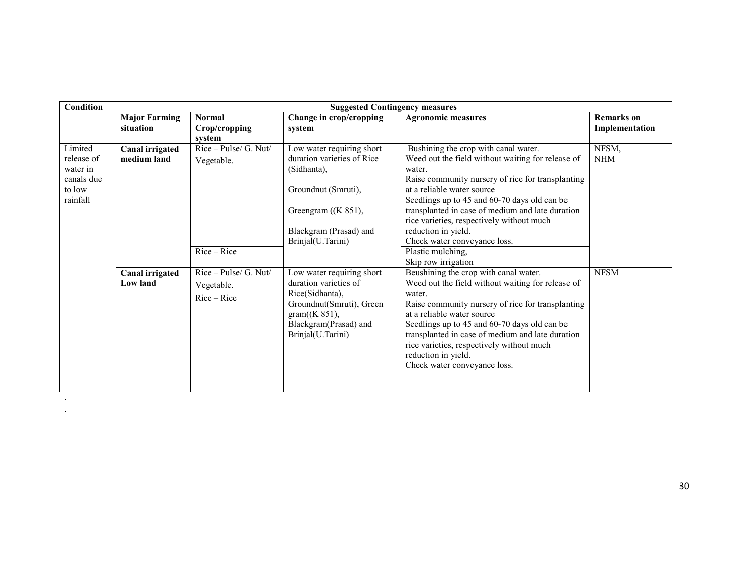| <b>Condition</b>                                                      | <b>Suggested Contingency measures</b>     |                                                      |                                                                                                                                                                       |                                                                                                                                                                                                                                                                                                                                                                                                                                            |                                     |
|-----------------------------------------------------------------------|-------------------------------------------|------------------------------------------------------|-----------------------------------------------------------------------------------------------------------------------------------------------------------------------|--------------------------------------------------------------------------------------------------------------------------------------------------------------------------------------------------------------------------------------------------------------------------------------------------------------------------------------------------------------------------------------------------------------------------------------------|-------------------------------------|
|                                                                       | <b>Major Farming</b><br>situation         | <b>Normal</b><br>Crop/cropping<br>system             | Change in crop/cropping<br>system                                                                                                                                     | <b>Agronomic measures</b>                                                                                                                                                                                                                                                                                                                                                                                                                  | <b>Remarks</b> on<br>Implementation |
| Limited<br>release of<br>water in<br>canals due<br>to low<br>rainfall | <b>Canal irrigated</b><br>medium land     | Rice - Pulse/ G. Nut/<br>Vegetable.<br>Rice-Rice     | Low water requiring short<br>duration varieties of Rice<br>(Sidhanta),<br>Groundnut (Smruti),<br>Greengram $((K 851),$<br>Blackgram (Prasad) and<br>Brinjal(U.Tarini) | Bushining the crop with canal water.<br>Weed out the field without waiting for release of<br>water.<br>Raise community nursery of rice for transplanting<br>at a reliable water source<br>Seedlings up to 45 and 60-70 days old can be<br>transplanted in case of medium and late duration<br>rice varieties, respectively without much<br>reduction in yield.<br>Check water conveyance loss.<br>Plastic mulching,<br>Skip row irrigation | NFSM,<br><b>NHM</b>                 |
|                                                                       | <b>Canal irrigated</b><br><b>Low land</b> | Rice - Pulse/ G. Nut/<br>Vegetable.<br>$Rice - Rice$ | Low water requiring short<br>duration varieties of<br>Rice(Sidhanta),<br>Groundnut(Smruti), Green<br>gram((K 851),<br>Blackgram(Prasad) and<br>Brinjal(U.Tarini)      | Beushining the crop with canal water.<br>Weed out the field without waiting for release of<br>water.<br>Raise community nursery of rice for transplanting<br>at a reliable water source<br>Seedlings up to 45 and 60-70 days old can be<br>transplanted in case of medium and late duration<br>rice varieties, respectively without much<br>reduction in yield.<br>Check water conveyance loss.                                            | <b>NFSM</b>                         |

. .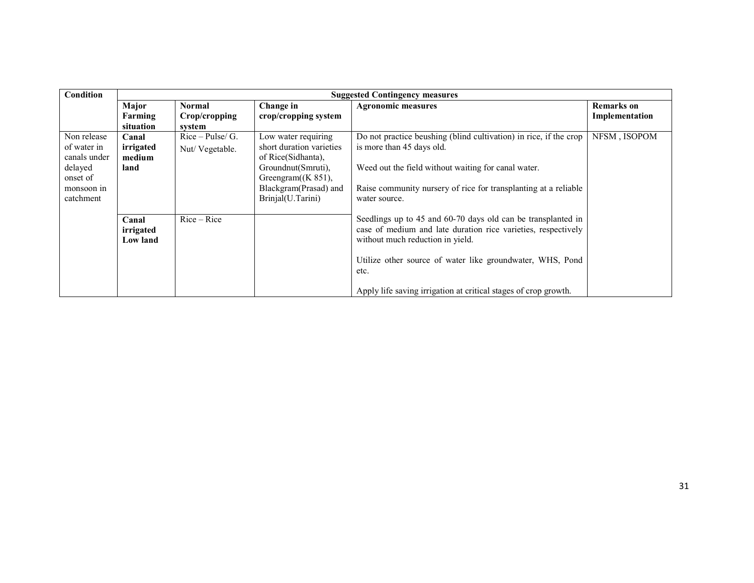| Condition                                                                                    |                                      |                                          |                                                                                                                                                                    | <b>Suggested Contingency measures</b>                                                                                                                                                                                                                                                                     |                                     |  |
|----------------------------------------------------------------------------------------------|--------------------------------------|------------------------------------------|--------------------------------------------------------------------------------------------------------------------------------------------------------------------|-----------------------------------------------------------------------------------------------------------------------------------------------------------------------------------------------------------------------------------------------------------------------------------------------------------|-------------------------------------|--|
|                                                                                              | Major<br>Farming<br>situation        | <b>Normal</b><br>Crop/cropping<br>system | Change in<br>crop/cropping system                                                                                                                                  | <b>Agronomic measures</b>                                                                                                                                                                                                                                                                                 | <b>Remarks</b> on<br>Implementation |  |
| Non release<br>of water in<br>canals under<br>delayed<br>onset of<br>monsoon in<br>catchment | Canal<br>irrigated<br>medium<br>land | $Rice-Pulse/G$ .<br>Nut/Vegetable.       | Low water requiring<br>short duration varieties<br>of Rice(Sidhanta),<br>Groundnut(Smruti),<br>Greengram $(K 851)$ ,<br>Blackgram(Prasad) and<br>Brinjal(U.Tarini) | Do not practice beushing (blind cultivation) in rice, if the crop<br>is more than 45 days old.<br>Weed out the field without waiting for canal water.<br>Raise community nursery of rice for transplanting at a reliable<br>water source.                                                                 | NFSM, ISOPOM                        |  |
|                                                                                              | Canal<br>irrigated<br>Low land       | $Rice - Rice$                            |                                                                                                                                                                    | Seedlings up to 45 and 60-70 days old can be transplanted in<br>case of medium and late duration rice varieties, respectively<br>without much reduction in yield.<br>Utilize other source of water like groundwater, WHS, Pond<br>etc.<br>Apply life saving irrigation at critical stages of crop growth. |                                     |  |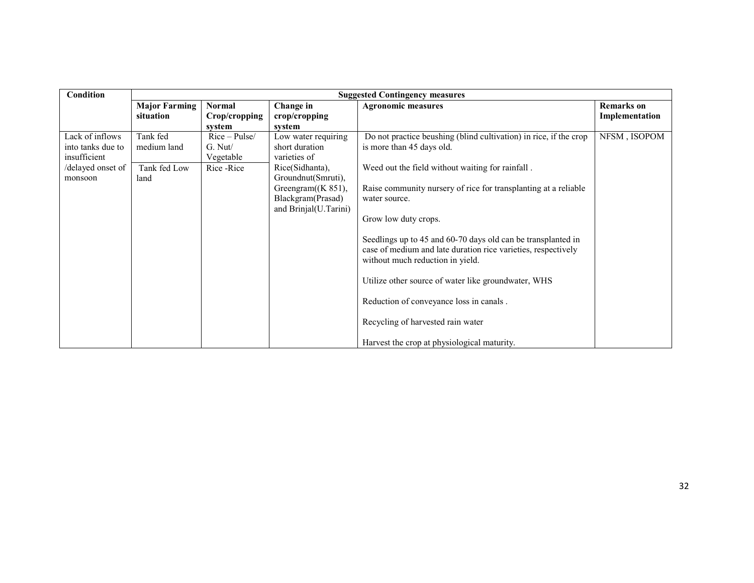| Condition         | <b>Suggested Contingency measures</b> |               |                       |                                                                   |                   |
|-------------------|---------------------------------------|---------------|-----------------------|-------------------------------------------------------------------|-------------------|
|                   | <b>Major Farming</b>                  | <b>Normal</b> | Change in             | <b>Agronomic measures</b>                                         | <b>Remarks</b> on |
|                   | situation                             | Crop/cropping | crop/cropping         |                                                                   | Implementation    |
|                   |                                       | system        | system                |                                                                   |                   |
| Lack of inflows   | Tank fed                              | $Rice-Pulse/$ | Low water requiring   | Do not practice beushing (blind cultivation) in rice, if the crop | NFSM, ISOPOM      |
| into tanks due to | medium land                           | $G.$ Nut/     | short duration        | is more than 45 days old.                                         |                   |
| insufficient      |                                       | Vegetable     | varieties of          |                                                                   |                   |
| /delayed onset of | Tank fed Low                          | Rice - Rice   | Rice(Sidhanta),       | Weed out the field without waiting for rainfall.                  |                   |
| monsoon           | land                                  |               | Groundnut(Smruti),    |                                                                   |                   |
|                   |                                       |               | Greengram $((K 851),$ | Raise community nursery of rice for transplanting at a reliable   |                   |
|                   |                                       |               | Blackgram(Prasad)     | water source.                                                     |                   |
|                   |                                       |               | and Brinjal(U.Tarini) |                                                                   |                   |
|                   |                                       |               |                       | Grow low duty crops.                                              |                   |
|                   |                                       |               |                       |                                                                   |                   |
|                   |                                       |               |                       | Seedlings up to 45 and 60-70 days old can be transplanted in      |                   |
|                   |                                       |               |                       | case of medium and late duration rice varieties, respectively     |                   |
|                   |                                       |               |                       | without much reduction in yield.                                  |                   |
|                   |                                       |               |                       |                                                                   |                   |
|                   |                                       |               |                       | Utilize other source of water like groundwater, WHS               |                   |
|                   |                                       |               |                       |                                                                   |                   |
|                   |                                       |               |                       | Reduction of conveyance loss in canals.                           |                   |
|                   |                                       |               |                       | Recycling of harvested rain water                                 |                   |
|                   |                                       |               |                       |                                                                   |                   |
|                   |                                       |               |                       | Harvest the crop at physiological maturity.                       |                   |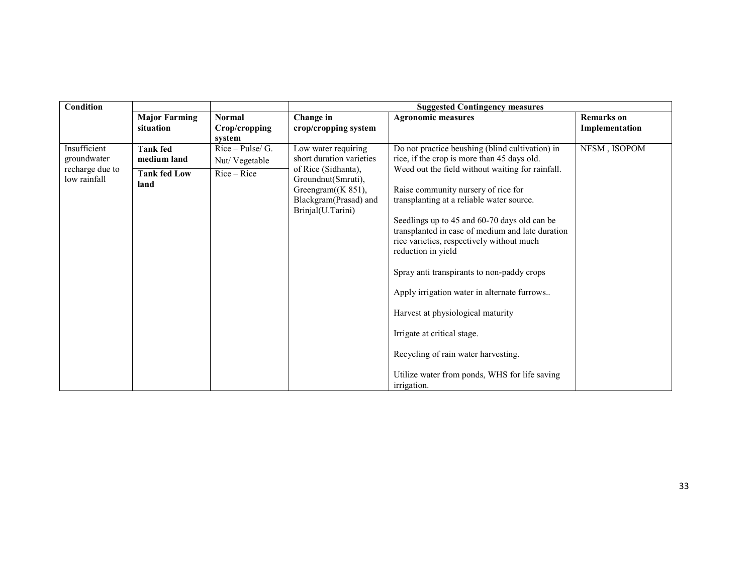| Condition                                      |                                   |                                          |                                                                                           | <b>Suggested Contingency measures</b>                                                                                                                                                                                                                                                                                                                                                                                                                                                                                           |                                     |
|------------------------------------------------|-----------------------------------|------------------------------------------|-------------------------------------------------------------------------------------------|---------------------------------------------------------------------------------------------------------------------------------------------------------------------------------------------------------------------------------------------------------------------------------------------------------------------------------------------------------------------------------------------------------------------------------------------------------------------------------------------------------------------------------|-------------------------------------|
|                                                | <b>Major Farming</b><br>situation | <b>Normal</b><br>Crop/cropping<br>system | Change in<br>crop/cropping system                                                         | <b>Agronomic measures</b>                                                                                                                                                                                                                                                                                                                                                                                                                                                                                                       | <b>Remarks</b> on<br>Implementation |
| Insufficient<br>groundwater<br>recharge due to | <b>Tank fed</b><br>medium land    | $Rice-Pulse/G.$<br>Nut/Vegetable         | Low water requiring<br>short duration varieties<br>of Rice (Sidhanta),                    | Do not practice beushing (blind cultivation) in<br>rice, if the crop is more than 45 days old.<br>Weed out the field without waiting for rainfall.                                                                                                                                                                                                                                                                                                                                                                              | NFSM, ISOPOM                        |
| low rainfall                                   | <b>Tank fed Low</b><br>land       | $Rice - Rice$                            | Groundnut(Smruti),<br>Greengram $((K 851),$<br>Blackgram(Prasad) and<br>Brinjal(U.Tarini) | Raise community nursery of rice for<br>transplanting at a reliable water source.<br>Seedlings up to 45 and 60-70 days old can be<br>transplanted in case of medium and late duration<br>rice varieties, respectively without much<br>reduction in yield<br>Spray anti transpirants to non-paddy crops<br>Apply irrigation water in alternate furrows<br>Harvest at physiological maturity<br>Irrigate at critical stage.<br>Recycling of rain water harvesting.<br>Utilize water from ponds, WHS for life saving<br>irrigation. |                                     |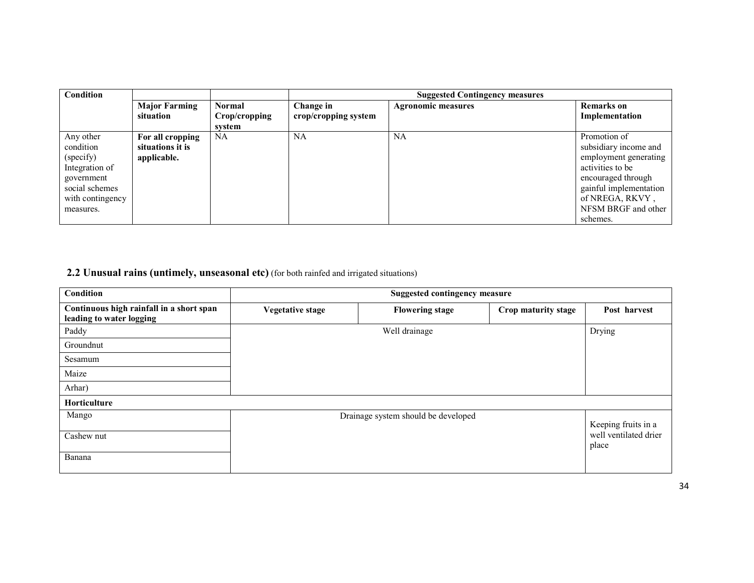| Condition        |                      |               |                      | <b>Suggested Contingency measures</b> |                        |
|------------------|----------------------|---------------|----------------------|---------------------------------------|------------------------|
|                  | <b>Major Farming</b> | <b>Normal</b> | Change in            | <b>Agronomic measures</b>             | <b>Remarks</b> on      |
|                  | situation            | Crop/cropping | crop/cropping system |                                       | Implementation         |
|                  |                      | svstem        |                      |                                       |                        |
| Any other        | For all cropping     | NA            | NA                   | <b>NA</b>                             | Promotion of           |
| condition        | situations it is     |               |                      |                                       | subsidiary income and  |
| (specify)        | applicable.          |               |                      |                                       | employment generating  |
| Integration of   |                      |               |                      |                                       | activities to be       |
| government       |                      |               |                      |                                       | encouraged through     |
| social schemes   |                      |               |                      |                                       | gainful implementation |
| with contingency |                      |               |                      |                                       | of NREGA, RKVY,        |
| measures.        |                      |               |                      |                                       | NFSM BRGF and other    |
|                  |                      |               |                      |                                       | schemes.               |

**2.2 Unusual rains (untimely, unseasonal etc)** (for both rainfed and irrigated situations)

| Condition                                                            | <b>Suggested contingency measure</b> |                                     |                     |                                |
|----------------------------------------------------------------------|--------------------------------------|-------------------------------------|---------------------|--------------------------------|
| Continuous high rainfall in a short span<br>leading to water logging | Vegetative stage                     | <b>Flowering stage</b>              | Crop maturity stage | Post harvest                   |
| Paddy                                                                |                                      | Well drainage                       |                     | Drying                         |
| Groundnut                                                            |                                      |                                     |                     |                                |
| Sesamum                                                              |                                      |                                     |                     |                                |
| Maize                                                                |                                      |                                     |                     |                                |
| Arhar)                                                               |                                      |                                     |                     |                                |
| <b>Horticulture</b>                                                  |                                      |                                     |                     |                                |
| Mango                                                                |                                      | Drainage system should be developed |                     | Keeping fruits in a            |
| Cashew nut                                                           |                                      |                                     |                     | well ventilated drier<br>place |
| Banana                                                               |                                      |                                     |                     |                                |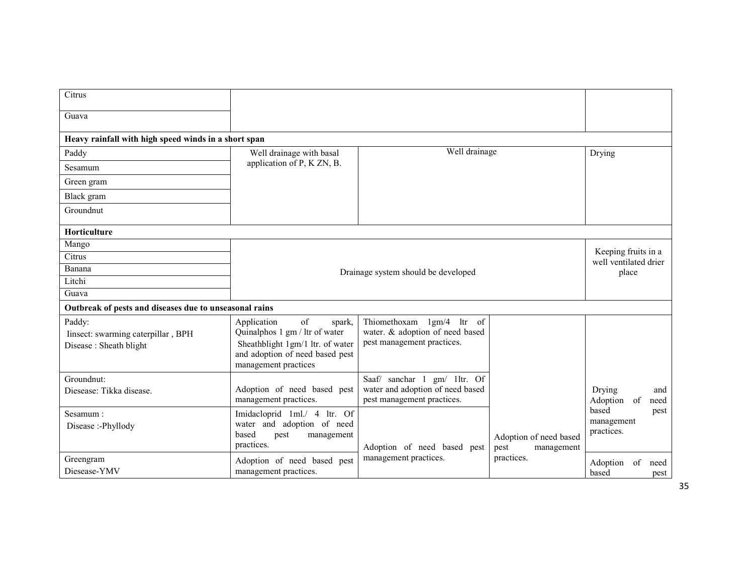| Citrus                                                                 |                                                                                                                                                              |                                                                                                |                                              |                                              |
|------------------------------------------------------------------------|--------------------------------------------------------------------------------------------------------------------------------------------------------------|------------------------------------------------------------------------------------------------|----------------------------------------------|----------------------------------------------|
| Guava                                                                  |                                                                                                                                                              |                                                                                                |                                              |                                              |
| Heavy rainfall with high speed winds in a short span                   |                                                                                                                                                              |                                                                                                |                                              |                                              |
| Paddy                                                                  | Well drainage with basal                                                                                                                                     | Well drainage                                                                                  |                                              | Drying                                       |
| Sesamum                                                                | application of P, K ZN, B.                                                                                                                                   |                                                                                                |                                              |                                              |
| Green gram                                                             |                                                                                                                                                              |                                                                                                |                                              |                                              |
| Black gram                                                             |                                                                                                                                                              |                                                                                                |                                              |                                              |
| Groundnut                                                              |                                                                                                                                                              |                                                                                                |                                              |                                              |
| <b>Horticulture</b>                                                    |                                                                                                                                                              |                                                                                                |                                              |                                              |
| Mango                                                                  |                                                                                                                                                              |                                                                                                |                                              |                                              |
| Citrus                                                                 |                                                                                                                                                              |                                                                                                |                                              | Keeping fruits in a<br>well ventilated drier |
| Banana                                                                 |                                                                                                                                                              | Drainage system should be developed                                                            |                                              | place                                        |
| Litchi                                                                 |                                                                                                                                                              |                                                                                                |                                              |                                              |
| Guava                                                                  |                                                                                                                                                              |                                                                                                |                                              |                                              |
| Outbreak of pests and diseases due to unseasonal rains                 |                                                                                                                                                              |                                                                                                |                                              |                                              |
| Paddy:<br>Iinsect: swarming caterpillar, BPH<br>Disease: Sheath blight | of<br>Application<br>spark,<br>Quinalphos 1 gm / ltr of water<br>Sheathblight 1gm/1 ltr. of water<br>and adoption of need based pest<br>management practices | Thiomethoxam 1gm/4<br>ltr of<br>water. & adoption of need based<br>pest management practices.  |                                              |                                              |
| Groundnut:<br>Diesease: Tikka disease.                                 | Adoption of need based pest<br>management practices.                                                                                                         | Saaf/ sanchar 1 gm/ 1ltr. Of<br>water and adoption of need based<br>pest management practices. |                                              | Drying<br>and<br>Adoption of<br>need         |
| Sesamum:<br>Disease:-Phyllody                                          | Imidacloprid 1ml./ 4 ltr. Of<br>water and adoption of need<br>based<br>management<br>pest<br>practices.                                                      | Adoption of need based pest                                                                    | Adoption of need based<br>pest<br>management | based<br>pest<br>management<br>practices.    |
| Greengram<br>Diesease-YMV                                              | Adoption of need based pest<br>management practices.                                                                                                         | management practices.                                                                          | practices.                                   | Adoption of<br>need<br>based<br>pest         |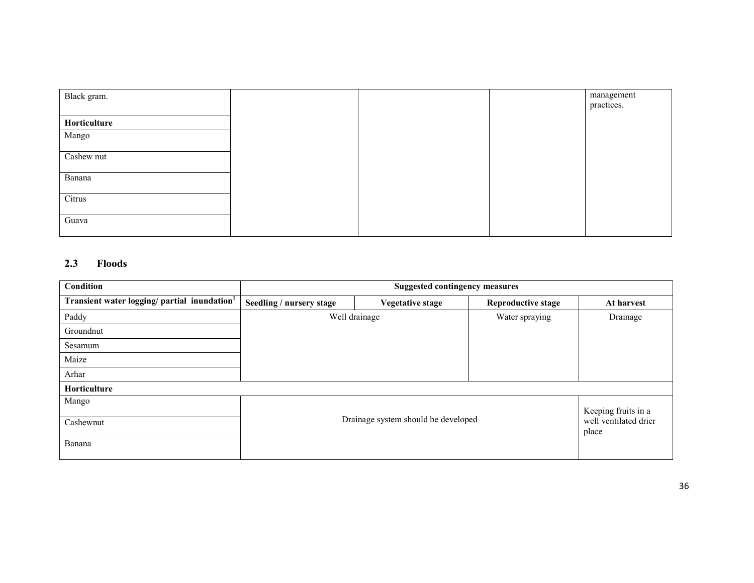| Black gram.  |  | management<br>practices. |
|--------------|--|--------------------------|
| Horticulture |  |                          |
| Mango        |  |                          |
| Cashew nut   |  |                          |
| Banana       |  |                          |
| Citrus       |  |                          |
| Guava        |  |                          |

### 2.3 Floods

| Condition                                   | <b>Suggested contingency measures</b> |                                     |                           |                                                       |  |
|---------------------------------------------|---------------------------------------|-------------------------------------|---------------------------|-------------------------------------------------------|--|
| Transient water logging/ partial inundation | Seedling / nursery stage              | <b>Vegetative stage</b>             | <b>Reproductive stage</b> | At harvest                                            |  |
| Paddy                                       |                                       | Well drainage                       | Water spraying            | Drainage                                              |  |
| Groundnut                                   |                                       |                                     |                           |                                                       |  |
| Sesamum                                     |                                       |                                     |                           |                                                       |  |
| Maize                                       |                                       |                                     |                           |                                                       |  |
| Arhar                                       |                                       |                                     |                           |                                                       |  |
| Horticulture                                |                                       |                                     |                           |                                                       |  |
| Mango<br>Cashewnut<br>Banana                |                                       | Drainage system should be developed |                           | Keeping fruits in a<br>well ventilated drier<br>place |  |
|                                             |                                       |                                     |                           |                                                       |  |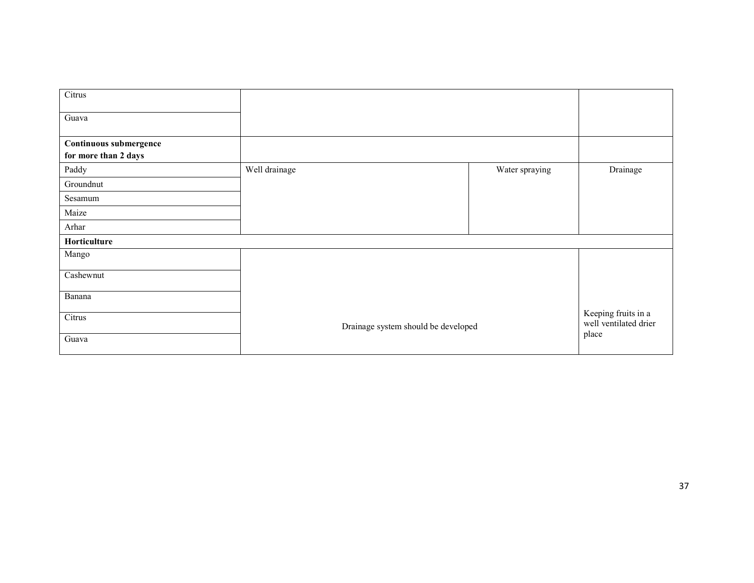| Citrus                                         |                                     |                |                                              |
|------------------------------------------------|-------------------------------------|----------------|----------------------------------------------|
| Guava                                          |                                     |                |                                              |
| Continuous submergence<br>for more than 2 days |                                     |                |                                              |
| Paddy                                          | Well drainage                       | Water spraying | Drainage                                     |
| Groundnut                                      |                                     |                |                                              |
| Sesamum                                        |                                     |                |                                              |
| Maize                                          |                                     |                |                                              |
| Arhar                                          |                                     |                |                                              |
| Horticulture                                   |                                     |                |                                              |
| Mango                                          |                                     |                |                                              |
| Cashewnut                                      |                                     |                |                                              |
| Banana                                         |                                     |                |                                              |
| Citrus                                         | Drainage system should be developed |                | Keeping fruits in a<br>well ventilated drier |
| Guava                                          |                                     |                | place                                        |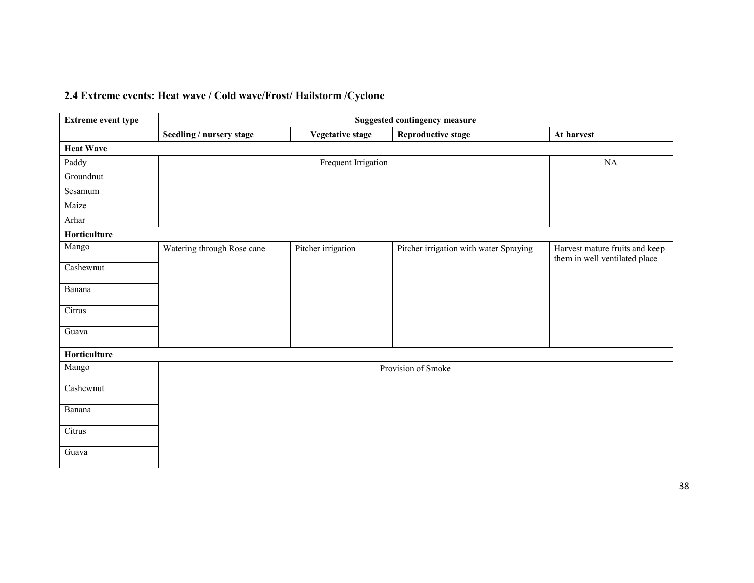# 2.4 Extreme events: Heat wave / Cold wave/Frost/ Hailstorm /Cyclone

| <b>Extreme event type</b> | <b>Suggested contingency measure</b> |                     |                                        |                                                                 |  |
|---------------------------|--------------------------------------|---------------------|----------------------------------------|-----------------------------------------------------------------|--|
|                           | Seedling / nursery stage             | Vegetative stage    | Reproductive stage                     | At harvest                                                      |  |
| <b>Heat Wave</b>          |                                      |                     |                                        |                                                                 |  |
| Paddy                     |                                      | Frequent Irrigation |                                        | NA                                                              |  |
| Groundnut                 |                                      |                     |                                        |                                                                 |  |
| Sesamum                   |                                      |                     |                                        |                                                                 |  |
| Maize                     |                                      |                     |                                        |                                                                 |  |
| Arhar                     |                                      |                     |                                        |                                                                 |  |
| Horticulture              |                                      |                     |                                        |                                                                 |  |
| Mango                     | Watering through Rose cane           | Pitcher irrigation  | Pitcher irrigation with water Spraying | Harvest mature fruits and keep<br>them in well ventilated place |  |
| Cashewnut                 |                                      |                     |                                        |                                                                 |  |
| Banana                    |                                      |                     |                                        |                                                                 |  |
| Citrus                    |                                      |                     |                                        |                                                                 |  |
| Guava                     |                                      |                     |                                        |                                                                 |  |
| Horticulture              |                                      |                     |                                        |                                                                 |  |
| Mango                     |                                      |                     | Provision of Smoke                     |                                                                 |  |
| Cashewnut                 |                                      |                     |                                        |                                                                 |  |
| Banana                    |                                      |                     |                                        |                                                                 |  |
| Citrus                    |                                      |                     |                                        |                                                                 |  |
| Guava                     |                                      |                     |                                        |                                                                 |  |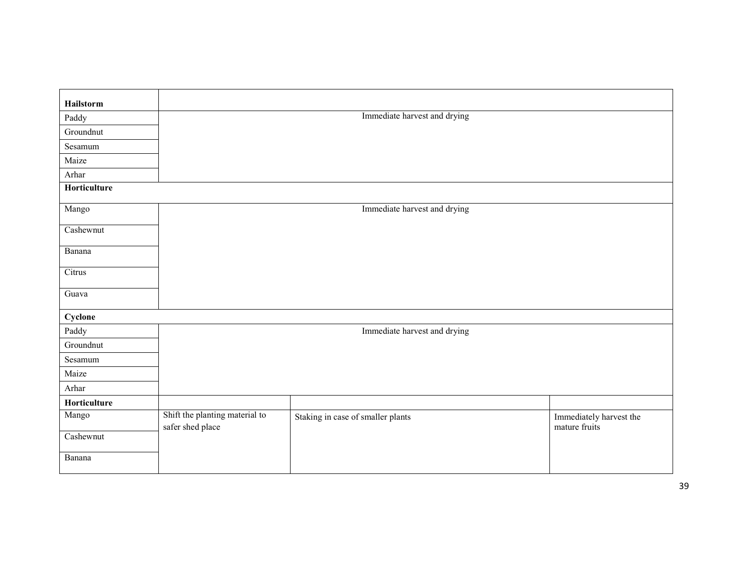| Hailstorm    |                                                    |                                   |                                          |
|--------------|----------------------------------------------------|-----------------------------------|------------------------------------------|
| Paddy        |                                                    | Immediate harvest and drying      |                                          |
| Groundnut    |                                                    |                                   |                                          |
| Sesamum      |                                                    |                                   |                                          |
| Maize        |                                                    |                                   |                                          |
| Arhar        |                                                    |                                   |                                          |
| Horticulture |                                                    |                                   |                                          |
| Mango        |                                                    | Immediate harvest and drying      |                                          |
| Cashewnut    |                                                    |                                   |                                          |
| Banana       |                                                    |                                   |                                          |
| Citrus       |                                                    |                                   |                                          |
| Guava        |                                                    |                                   |                                          |
| Cyclone      |                                                    |                                   |                                          |
| Paddy        |                                                    | Immediate harvest and drying      |                                          |
| Groundnut    |                                                    |                                   |                                          |
| Sesamum      |                                                    |                                   |                                          |
| Maize        |                                                    |                                   |                                          |
| Arhar        |                                                    |                                   |                                          |
| Horticulture |                                                    |                                   |                                          |
| Mango        | Shift the planting material to<br>safer shed place | Staking in case of smaller plants | Immediately harvest the<br>mature fruits |
| Cashewnut    |                                                    |                                   |                                          |
| Banana       |                                                    |                                   |                                          |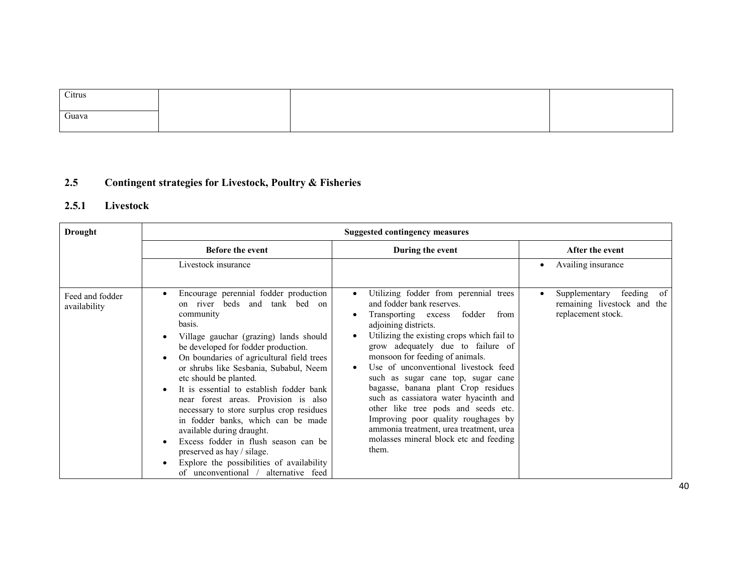| Citrus |  |  |
|--------|--|--|
|        |  |  |
| Guava  |  |  |
|        |  |  |

#### 2.5Contingent strategies for Livestock, Poultry & Fisheries

# 2.5.1 Livestock

| Drought                         | <b>Suggested contingency measures</b>                                                                                                                                                                                                                                                                                                                                                                                                                                                                                                                                                                                                                                      |                                                                                                                                                                                                                                                                                                                                                                                                                                                                                                                                                                                                                  |                                                                                     |  |  |
|---------------------------------|----------------------------------------------------------------------------------------------------------------------------------------------------------------------------------------------------------------------------------------------------------------------------------------------------------------------------------------------------------------------------------------------------------------------------------------------------------------------------------------------------------------------------------------------------------------------------------------------------------------------------------------------------------------------------|------------------------------------------------------------------------------------------------------------------------------------------------------------------------------------------------------------------------------------------------------------------------------------------------------------------------------------------------------------------------------------------------------------------------------------------------------------------------------------------------------------------------------------------------------------------------------------------------------------------|-------------------------------------------------------------------------------------|--|--|
|                                 | <b>Before the event</b>                                                                                                                                                                                                                                                                                                                                                                                                                                                                                                                                                                                                                                                    | During the event                                                                                                                                                                                                                                                                                                                                                                                                                                                                                                                                                                                                 | After the event                                                                     |  |  |
|                                 | Livestock insurance                                                                                                                                                                                                                                                                                                                                                                                                                                                                                                                                                                                                                                                        |                                                                                                                                                                                                                                                                                                                                                                                                                                                                                                                                                                                                                  | Availing insurance                                                                  |  |  |
| Feed and fodder<br>availability | Encourage perennial fodder production<br>$\bullet$<br>on river beds and tank bed on<br>community<br>basis.<br>Village gauchar (grazing) lands should<br>be developed for fodder production.<br>On boundaries of agricultural field trees<br>or shrubs like Sesbania, Subabul, Neem<br>etc should be planted.<br>It is essential to establish fodder bank<br>near forest areas. Provision is also<br>necessary to store surplus crop residues<br>in fodder banks, which can be made<br>available during draught.<br>Excess fodder in flush season can be<br>preserved as hay / silage.<br>Explore the possibilities of availability<br>of unconventional / alternative feed | Utilizing fodder from perennial trees<br>$\bullet$<br>and fodder bank reserves.<br>Transporting excess<br>fodder<br>from<br>adjoining districts.<br>Utilizing the existing crops which fail to<br>grow adequately due to failure of<br>monsoon for feeding of animals.<br>Use of unconventional livestock feed<br>such as sugar cane top, sugar cane<br>bagasse, banana plant Crop residues<br>such as cassiatora water hyacinth and<br>other like tree pods and seeds etc.<br>Improving poor quality roughages by<br>ammonia treatment, urea treatment, urea<br>molasses mineral block etc and feeding<br>them. | feeding<br>of<br>Supplementary<br>remaining livestock and the<br>replacement stock. |  |  |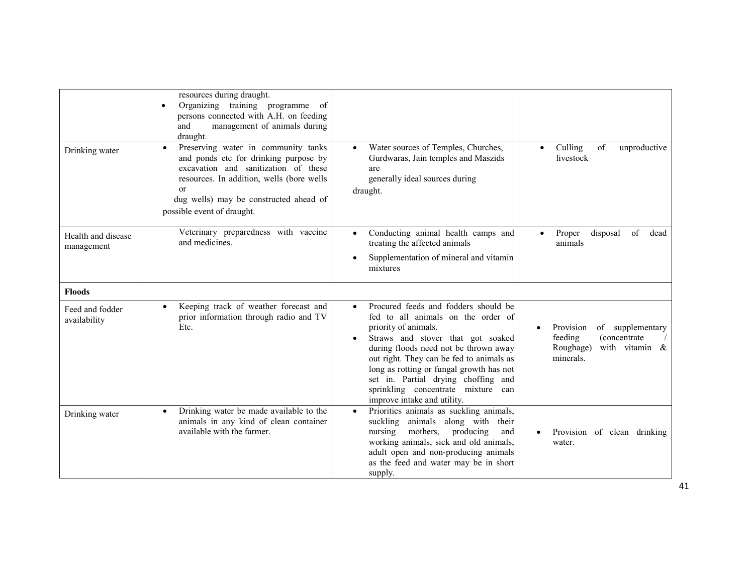|                                  | resources during draught.<br>Organizing training programme<br>of<br>$\bullet$<br>persons connected with A.H. on feeding<br>and<br>management of animals during<br>draught.                                                                                              |                                                                                                                                                                                                                                                                                                                                                                                                   |                                                                                                              |
|----------------------------------|-------------------------------------------------------------------------------------------------------------------------------------------------------------------------------------------------------------------------------------------------------------------------|---------------------------------------------------------------------------------------------------------------------------------------------------------------------------------------------------------------------------------------------------------------------------------------------------------------------------------------------------------------------------------------------------|--------------------------------------------------------------------------------------------------------------|
| Drinking water                   | Preserving water in community tanks<br>$\bullet$<br>and ponds etc for drinking purpose by<br>excavation and sanitization of these<br>resources. In addition, wells (bore wells<br><sub>or</sub><br>dug wells) may be constructed ahead of<br>possible event of draught. | Water sources of Temples, Churches,<br>$\bullet$<br>Gurdwaras, Jain temples and Maszids<br>are<br>generally ideal sources during<br>draught.                                                                                                                                                                                                                                                      | Culling<br>of<br>unproductive<br>$\bullet$<br>livestock                                                      |
| Health and disease<br>management | Veterinary preparedness with vaccine<br>and medicines.                                                                                                                                                                                                                  | Conducting animal health camps and<br>$\bullet$<br>treating the affected animals<br>Supplementation of mineral and vitamin<br>mixtures                                                                                                                                                                                                                                                            | Proper<br>disposal<br>of<br>dead<br>animals                                                                  |
| <b>Floods</b>                    |                                                                                                                                                                                                                                                                         |                                                                                                                                                                                                                                                                                                                                                                                                   |                                                                                                              |
| Feed and fodder<br>availability  | Keeping track of weather forecast and<br>$\bullet$<br>prior information through radio and TV<br>Etc.                                                                                                                                                                    | Procured feeds and fodders should be<br>$\bullet$<br>fed to all animals on the order of<br>priority of animals.<br>Straws and stover that got soaked<br>during floods need not be thrown away<br>out right. They can be fed to animals as<br>long as rotting or fungal growth has not<br>set in. Partial drying choffing and<br>sprinkling concentrate mixture can<br>improve intake and utility. | Provision<br>of supplementary<br>feeding<br><i>(concentrate)</i><br>Roughage)<br>with vitamin &<br>minerals. |
| Drinking water                   | Drinking water be made available to the<br>$\bullet$<br>animals in any kind of clean container<br>available with the farmer.                                                                                                                                            | Priorities animals as suckling animals,<br>$\bullet$<br>suckling<br>animals along with their<br>mothers,<br>nursing<br>producing<br>and<br>working animals, sick and old animals,<br>adult open and non-producing animals<br>as the feed and water may be in short<br>supply.                                                                                                                     | Provision of clean drinking<br>$\bullet$<br>water.                                                           |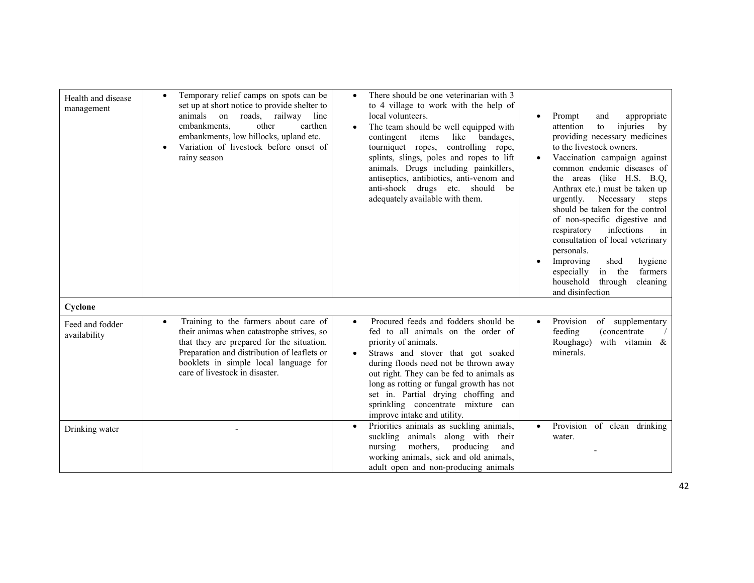| Health and disease<br>management | Temporary relief camps on spots can be<br>$\bullet$<br>set up at short notice to provide shelter to<br>animals on roads, railway line<br>other<br>embankments.<br>earthen<br>embankments, low hillocks, upland etc.<br>Variation of livestock before onset of<br>rainy season | There should be one veterinarian with 3<br>$\bullet$<br>to 4 village to work with the help of<br>local volunteers.<br>The team should be well equipped with<br>contingent<br>items<br>like bandages,<br>tourniquet ropes, controlling rope,<br>splints, slings, poles and ropes to lift<br>animals. Drugs including painkillers,<br>antiseptics, antibiotics, anti-venom and<br>anti-shock drugs etc. should<br>be<br>adequately available with them. | Prompt<br>appropriate<br>and<br>$\bullet$<br>injuries<br>attention<br>to<br>$-$ by<br>providing necessary medicines<br>to the livestock owners.<br>Vaccination campaign against<br>common endemic diseases of<br>the areas (like H.S. B.Q.<br>Anthrax etc.) must be taken up<br>urgently.<br>Necessary<br>steps<br>should be taken for the control<br>of non-specific digestive and<br>infections<br>respiratory<br>in<br>consultation of local veterinary<br>personals.<br>Improving<br>shed<br>hygiene<br>especially<br>in the<br>farmers<br>household<br>through<br>cleaning<br>and disinfection |
|----------------------------------|-------------------------------------------------------------------------------------------------------------------------------------------------------------------------------------------------------------------------------------------------------------------------------|-------------------------------------------------------------------------------------------------------------------------------------------------------------------------------------------------------------------------------------------------------------------------------------------------------------------------------------------------------------------------------------------------------------------------------------------------------|-----------------------------------------------------------------------------------------------------------------------------------------------------------------------------------------------------------------------------------------------------------------------------------------------------------------------------------------------------------------------------------------------------------------------------------------------------------------------------------------------------------------------------------------------------------------------------------------------------|
| Cyclone                          |                                                                                                                                                                                                                                                                               |                                                                                                                                                                                                                                                                                                                                                                                                                                                       |                                                                                                                                                                                                                                                                                                                                                                                                                                                                                                                                                                                                     |
| Feed and fodder<br>availability  | Training to the farmers about care of<br>$\bullet$<br>their animas when catastrophe strives, so<br>that they are prepared for the situation.<br>Preparation and distribution of leaflets or<br>booklets in simple local language for<br>care of livestock in disaster.        | Procured feeds and fodders should be<br>$\bullet$<br>fed to all animals on the order of<br>priority of animals.<br>Straws and stover that got soaked<br>$\bullet$<br>during floods need not be thrown away<br>out right. They can be fed to animals as<br>long as rotting or fungal growth has not<br>set in. Partial drying choffing and<br>sprinkling concentrate mixture can<br>improve intake and utility.                                        | Provision<br>of supplementary<br>$\bullet$<br>feeding<br><i>(concentrate)</i><br>Roughage)<br>with vitamin &<br>minerals.                                                                                                                                                                                                                                                                                                                                                                                                                                                                           |
| Drinking water                   |                                                                                                                                                                                                                                                                               | Priorities animals as suckling animals,<br>$\bullet$<br>suckling animals along with their<br>mothers,<br>producing<br>nursing<br>and<br>working animals, sick and old animals,<br>adult open and non-producing animals                                                                                                                                                                                                                                | Provision of clean drinking<br>water.                                                                                                                                                                                                                                                                                                                                                                                                                                                                                                                                                               |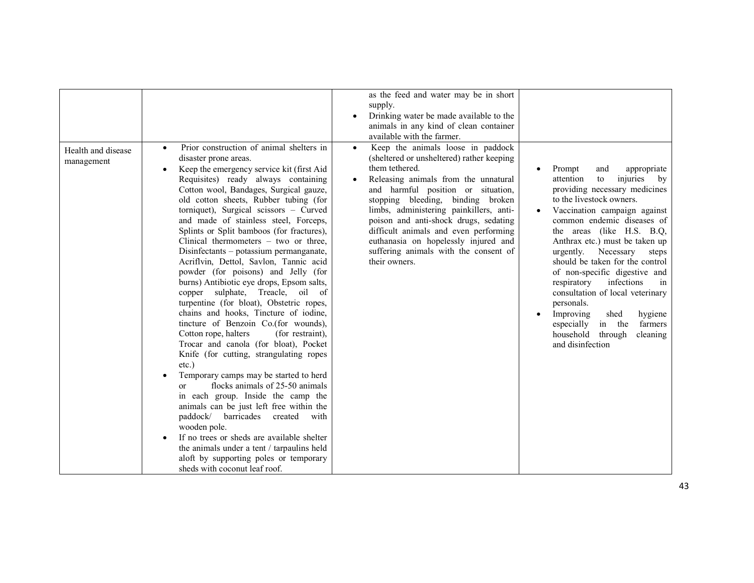| Health and disease<br>management | Prior construction of animal shelters in<br>disaster prone areas.<br>Keep the emergency service kit (first Aid<br>Requisites) ready always containing<br>Cotton wool, Bandages, Surgical gauze,<br>old cotton sheets, Rubber tubing (for<br>torniquet), Surgical scissors - Curved<br>and made of stainless steel, Forceps,<br>Splints or Split bamboos (for fractures),<br>Clinical thermometers $-$ two or three,<br>Disinfectants – potassium permanganate,<br>Acriflvin, Dettol, Savlon, Tannic acid<br>powder (for poisons) and Jelly (for<br>burns) Antibiotic eye drops, Epsom salts,<br>copper sulphate, Treacle, oil of<br>turpentine (for bloat), Obstetric ropes,<br>chains and hooks, Tincture of iodine,<br>tincture of Benzoin Co.(for wounds),<br>Cotton rope, halters<br>(for restraint),<br>Trocar and canola (for bloat), Pocket<br>Knife (for cutting, strangulating ropes<br>$etc.$ )<br>Temporary camps may be started to herd<br>flocks animals of 25-50 animals<br><sub>or</sub><br>in each group. Inside the camp the<br>animals can be just left free within the<br>paddock/<br>barricades<br>created<br>with | as the feed and water may be in short<br>supply.<br>Drinking water be made available to the<br>animals in any kind of clean container<br>available with the farmer.<br>Keep the animals loose in paddock<br>$\bullet$<br>(sheltered or unsheltered) rather keeping<br>them tethered.<br>Releasing animals from the unnatural<br>and harmful position or situation,<br>stopping bleeding, binding broken<br>limbs, administering painkillers, anti-<br>poison and anti-shock drugs, sedating<br>difficult animals and even performing<br>euthanasia on hopelessly injured and<br>suffering animals with the consent of<br>their owners. | Prompt<br>appropriate<br>and<br>injuries<br>attention<br>to<br>by<br>providing necessary medicines<br>to the livestock owners.<br>Vaccination campaign against<br>common endemic diseases of<br>the areas (like H.S. B.Q.<br>Anthrax etc.) must be taken up<br>Necessary<br>urgently.<br>steps<br>should be taken for the control<br>of non-specific digestive and<br>respiratory<br>infections<br>in<br>consultation of local veterinary<br>personals.<br>Improving<br>shed<br>hygiene<br>$\bullet$<br>in the<br>especially<br>farmers<br>household<br>through<br>cleaning<br>and disinfection |
|----------------------------------|----------------------------------------------------------------------------------------------------------------------------------------------------------------------------------------------------------------------------------------------------------------------------------------------------------------------------------------------------------------------------------------------------------------------------------------------------------------------------------------------------------------------------------------------------------------------------------------------------------------------------------------------------------------------------------------------------------------------------------------------------------------------------------------------------------------------------------------------------------------------------------------------------------------------------------------------------------------------------------------------------------------------------------------------------------------------------------------------------------------------------------------|----------------------------------------------------------------------------------------------------------------------------------------------------------------------------------------------------------------------------------------------------------------------------------------------------------------------------------------------------------------------------------------------------------------------------------------------------------------------------------------------------------------------------------------------------------------------------------------------------------------------------------------|-------------------------------------------------------------------------------------------------------------------------------------------------------------------------------------------------------------------------------------------------------------------------------------------------------------------------------------------------------------------------------------------------------------------------------------------------------------------------------------------------------------------------------------------------------------------------------------------------|
|                                  | wooden pole.<br>If no trees or sheds are available shelter<br>the animals under a tent / tarpaulins held<br>aloft by supporting poles or temporary<br>sheds with coconut leaf roof.                                                                                                                                                                                                                                                                                                                                                                                                                                                                                                                                                                                                                                                                                                                                                                                                                                                                                                                                                    |                                                                                                                                                                                                                                                                                                                                                                                                                                                                                                                                                                                                                                        |                                                                                                                                                                                                                                                                                                                                                                                                                                                                                                                                                                                                 |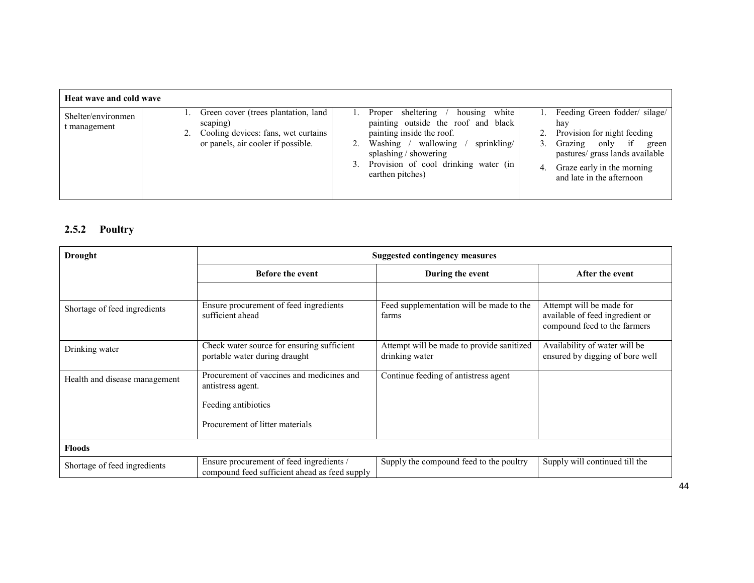| Heat wave and cold wave            |                                                                                                                                 |                                                                                                   |                                                                                                                                       |          |                                                                                                                                                                                                  |
|------------------------------------|---------------------------------------------------------------------------------------------------------------------------------|---------------------------------------------------------------------------------------------------|---------------------------------------------------------------------------------------------------------------------------------------|----------|--------------------------------------------------------------------------------------------------------------------------------------------------------------------------------------------------|
| Shelter/environmen<br>t management | Green cover (trees plantation, land<br>scaping)<br>2. Cooling devices: fans, wet curtains<br>or panels, air cooler if possible. | Proper sheltering<br>painting inside the roof.<br>splashing / showering<br>3.<br>earthen pitches) | white<br>housing<br>painting outside the roof and black<br>Washing / wallowing<br>sprinkling/<br>Provision of cool drinking water (in | 3.<br>4. | Feeding Green fodder/ silage/<br>hav<br>Provision for night feeding<br>Grazing only<br>if<br>green<br>pastures/ grass lands available<br>Graze early in the morning<br>and late in the afternoon |

### 2.5.2 Poultry

| Drought                       | <b>Suggested contingency measures</b>                                                     |                                                             |                                                                                             |  |
|-------------------------------|-------------------------------------------------------------------------------------------|-------------------------------------------------------------|---------------------------------------------------------------------------------------------|--|
|                               | <b>Before the event</b>                                                                   | During the event                                            | After the event                                                                             |  |
|                               |                                                                                           |                                                             |                                                                                             |  |
| Shortage of feed ingredients  | Ensure procurement of feed ingredients<br>sufficient ahead                                | Feed supplementation will be made to the<br>farms           | Attempt will be made for<br>available of feed ingredient or<br>compound feed to the farmers |  |
| Drinking water                | Check water source for ensuring sufficient<br>portable water during draught               | Attempt will be made to provide sanitized<br>drinking water | Availability of water will be<br>ensured by digging of bore well                            |  |
| Health and disease management | Procurement of vaccines and medicines and<br>antistress agent.<br>Feeding antibiotics     | Continue feeding of antistress agent                        |                                                                                             |  |
|                               | Procurement of litter materials                                                           |                                                             |                                                                                             |  |
| <b>Floods</b>                 |                                                                                           |                                                             |                                                                                             |  |
| Shortage of feed ingredients  | Ensure procurement of feed ingredients /<br>compound feed sufficient ahead as feed supply | Supply the compound feed to the poultry                     | Supply will continued till the                                                              |  |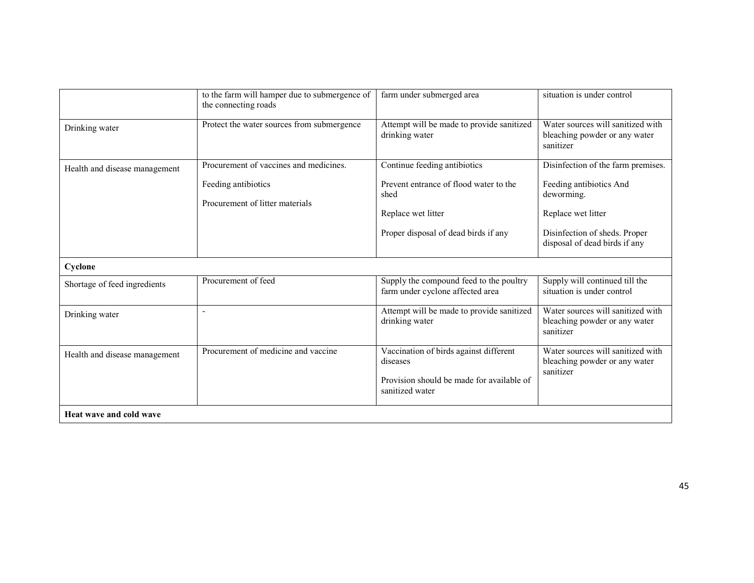|                                | to the farm will hamper due to submergence of<br>the connecting roads | farm under submerged area                                                                       | situation is under control                                                      |
|--------------------------------|-----------------------------------------------------------------------|-------------------------------------------------------------------------------------------------|---------------------------------------------------------------------------------|
| Drinking water                 | Protect the water sources from submergence                            | Attempt will be made to provide sanitized<br>drinking water                                     | Water sources will sanitized with<br>bleaching powder or any water<br>sanitizer |
| Health and disease management  | Procurement of vaccines and medicines.                                | Continue feeding antibiotics                                                                    | Disinfection of the farm premises.                                              |
|                                | Feeding antibiotics<br>Procurement of litter materials                | Prevent entrance of flood water to the<br>shed                                                  | Feeding antibiotics And<br>deworming.                                           |
|                                |                                                                       | Replace wet litter                                                                              | Replace wet litter                                                              |
|                                |                                                                       | Proper disposal of dead birds if any                                                            | Disinfection of sheds. Proper<br>disposal of dead birds if any                  |
| Cyclone                        |                                                                       |                                                                                                 |                                                                                 |
| Shortage of feed ingredients   | Procurement of feed                                                   | Supply the compound feed to the poultry<br>farm under cyclone affected area                     | Supply will continued till the<br>situation is under control                    |
| Drinking water                 | ÷,                                                                    | Attempt will be made to provide sanitized<br>drinking water                                     | Water sources will sanitized with<br>bleaching powder or any water<br>sanitizer |
| Health and disease management  | Procurement of medicine and vaccine                                   | Vaccination of birds against different<br>diseases<br>Provision should be made for available of | Water sources will sanitized with<br>bleaching powder or any water<br>sanitizer |
| <b>Heat wave and cold wave</b> |                                                                       | sanitized water                                                                                 |                                                                                 |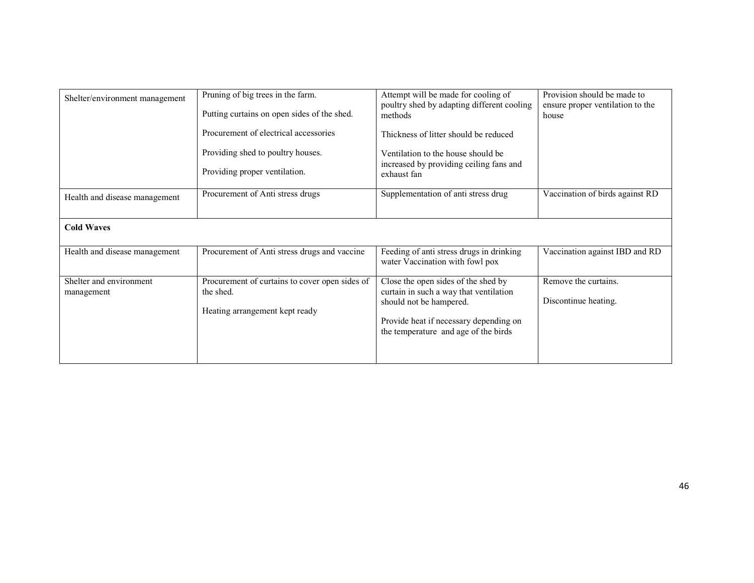| Shelter/environment management        | Pruning of big trees in the farm.<br>Putting curtains on open sides of the shed.<br>Procurement of electrical accessories<br>Providing shed to poultry houses.<br>Providing proper ventilation. | Attempt will be made for cooling of<br>poultry shed by adapting different cooling<br>methods<br>Thickness of litter should be reduced<br>Ventilation to the house should be<br>increased by providing ceiling fans and<br>exhaust fan | Provision should be made to<br>ensure proper ventilation to the<br>house |
|---------------------------------------|-------------------------------------------------------------------------------------------------------------------------------------------------------------------------------------------------|---------------------------------------------------------------------------------------------------------------------------------------------------------------------------------------------------------------------------------------|--------------------------------------------------------------------------|
| Health and disease management         | Procurement of Anti stress drugs                                                                                                                                                                | Supplementation of anti stress drug                                                                                                                                                                                                   | Vaccination of birds against RD                                          |
| <b>Cold Waves</b>                     |                                                                                                                                                                                                 |                                                                                                                                                                                                                                       |                                                                          |
| Health and disease management         | Procurement of Anti stress drugs and vaccine                                                                                                                                                    | Feeding of anti stress drugs in drinking<br>water Vaccination with fowl pox                                                                                                                                                           | Vaccination against IBD and RD                                           |
| Shelter and environment<br>management | Procurement of curtains to cover open sides of<br>the shed.<br>Heating arrangement kept ready                                                                                                   | Close the open sides of the shed by<br>curtain in such a way that ventilation<br>should not be hampered.<br>Provide heat if necessary depending on<br>the temperature and age of the birds                                            | Remove the curtains.<br>Discontinue heating.                             |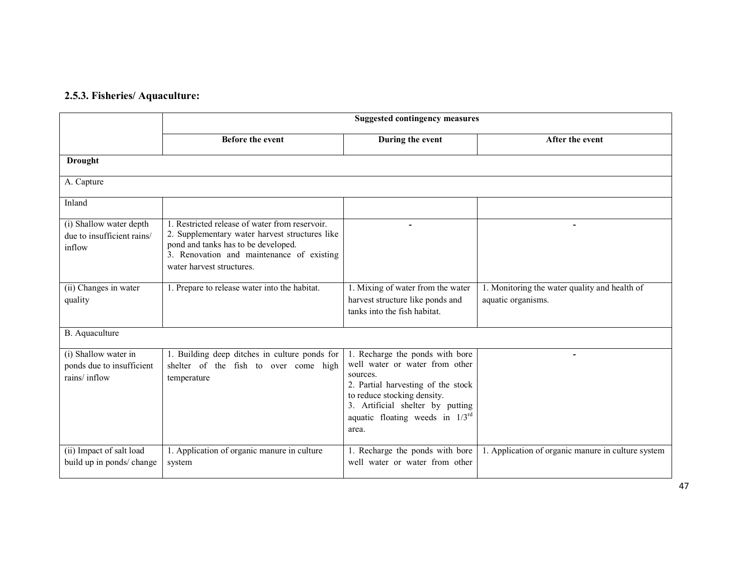### 2.5.3. Fisheries/ Aquaculture:

|                                                                   | <b>Suggested contingency measures</b>                                                                                                                                                                             |                                                                                                                                                                                                                                         |                                                                     |  |
|-------------------------------------------------------------------|-------------------------------------------------------------------------------------------------------------------------------------------------------------------------------------------------------------------|-----------------------------------------------------------------------------------------------------------------------------------------------------------------------------------------------------------------------------------------|---------------------------------------------------------------------|--|
|                                                                   | <b>Before the event</b>                                                                                                                                                                                           | During the event                                                                                                                                                                                                                        | After the event                                                     |  |
| <b>Drought</b>                                                    |                                                                                                                                                                                                                   |                                                                                                                                                                                                                                         |                                                                     |  |
| A. Capture                                                        |                                                                                                                                                                                                                   |                                                                                                                                                                                                                                         |                                                                     |  |
| Inland                                                            |                                                                                                                                                                                                                   |                                                                                                                                                                                                                                         |                                                                     |  |
| (i) Shallow water depth<br>due to insufficient rains/<br>inflow   | 1. Restricted release of water from reservoir.<br>2. Supplementary water harvest structures like<br>pond and tanks has to be developed.<br>3. Renovation and maintenance of existing<br>water harvest structures. |                                                                                                                                                                                                                                         | $\blacksquare$                                                      |  |
| (ii) Changes in water<br>quality                                  | 1. Prepare to release water into the habitat.                                                                                                                                                                     | 1. Mixing of water from the water<br>harvest structure like ponds and<br>tanks into the fish habitat.                                                                                                                                   | 1. Monitoring the water quality and health of<br>aquatic organisms. |  |
| B. Aquaculture                                                    |                                                                                                                                                                                                                   |                                                                                                                                                                                                                                         |                                                                     |  |
| (i) Shallow water in<br>ponds due to insufficient<br>rains/inflow | 1. Building deep ditches in culture ponds for<br>shelter of the fish to over come high<br>temperature                                                                                                             | 1. Recharge the ponds with bore<br>well water or water from other<br>sources.<br>2. Partial harvesting of the stock<br>to reduce stocking density.<br>3. Artificial shelter by putting<br>aquatic floating weeds in $1/3^{rd}$<br>area. |                                                                     |  |
| (ii) Impact of salt load<br>build up in ponds/ change             | 1. Application of organic manure in culture<br>system                                                                                                                                                             | 1. Recharge the ponds with bore<br>well water or water from other                                                                                                                                                                       | 1. Application of organic manure in culture system                  |  |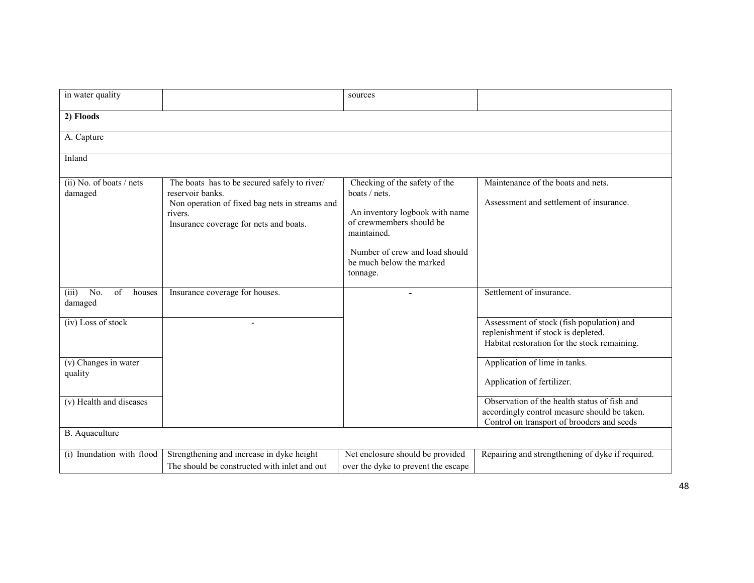| in water quality                                            |                                                                                                                                                                         | sources                                                                                                                                                                                               |                                                                                                                                            |
|-------------------------------------------------------------|-------------------------------------------------------------------------------------------------------------------------------------------------------------------------|-------------------------------------------------------------------------------------------------------------------------------------------------------------------------------------------------------|--------------------------------------------------------------------------------------------------------------------------------------------|
| 2) Floods                                                   |                                                                                                                                                                         |                                                                                                                                                                                                       |                                                                                                                                            |
| A. Capture                                                  |                                                                                                                                                                         |                                                                                                                                                                                                       |                                                                                                                                            |
| Inland                                                      |                                                                                                                                                                         |                                                                                                                                                                                                       |                                                                                                                                            |
| $(ii)$ No. of boats / nets<br>damaged                       | The boats has to be secured safely to river/<br>reservoir banks.<br>Non operation of fixed bag nets in streams and<br>rivers.<br>Insurance coverage for nets and boats. | Checking of the safety of the<br>boats / nets.<br>An inventory logbook with name<br>of crewmembers should be<br>maintained.<br>Number of crew and load should<br>be much below the marked<br>tonnage. | Maintenance of the boats and nets.<br>Assessment and settlement of insurance.                                                              |
| $\overline{No}$ .<br>(iii)<br>$\alpha$<br>houses<br>damaged | Insurance coverage for houses.                                                                                                                                          |                                                                                                                                                                                                       | Settlement of insurance.                                                                                                                   |
| (iv) Loss of stock                                          |                                                                                                                                                                         |                                                                                                                                                                                                       | Assessment of stock (fish population) and<br>replenishment if stock is depleted.<br>Habitat restoration for the stock remaining.           |
| (v) Changes in water<br>quality                             |                                                                                                                                                                         |                                                                                                                                                                                                       | Application of lime in tanks.<br>Application of fertilizer.                                                                                |
| (v) Health and diseases                                     |                                                                                                                                                                         |                                                                                                                                                                                                       | Observation of the health status of fish and<br>accordingly control measure should be taken.<br>Control on transport of brooders and seeds |
| B. Aquaculture                                              |                                                                                                                                                                         |                                                                                                                                                                                                       |                                                                                                                                            |
| (i) Inundation with flood                                   | Strengthening and increase in dyke height<br>The should be constructed with inlet and out                                                                               | Net enclosure should be provided<br>over the dyke to prevent the escape                                                                                                                               | Repairing and strengthening of dyke if required.                                                                                           |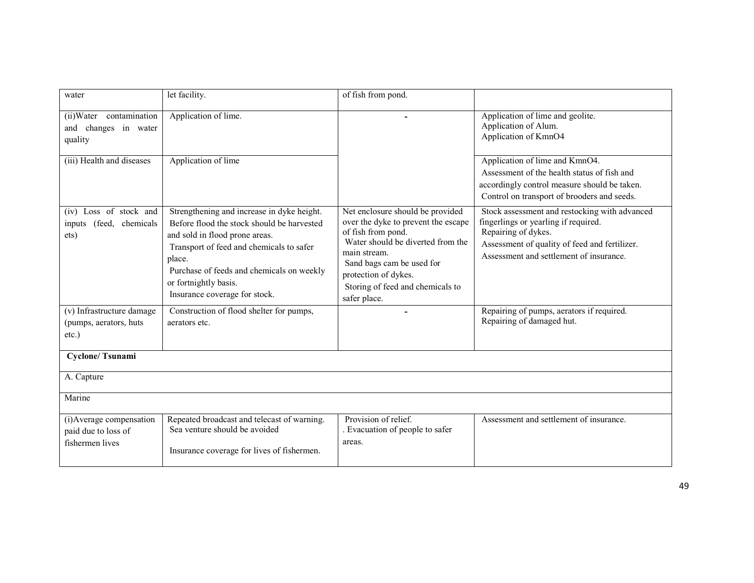| water                                                              | let facility.                                                                                                                                                                                                                                                                           | of fish from pond.                                                                                                                                                                                                                                          |                                                                                                                                                                                                          |
|--------------------------------------------------------------------|-----------------------------------------------------------------------------------------------------------------------------------------------------------------------------------------------------------------------------------------------------------------------------------------|-------------------------------------------------------------------------------------------------------------------------------------------------------------------------------------------------------------------------------------------------------------|----------------------------------------------------------------------------------------------------------------------------------------------------------------------------------------------------------|
| (ii) Water contamination<br>changes in water<br>and<br>quality     | Application of lime.                                                                                                                                                                                                                                                                    |                                                                                                                                                                                                                                                             | Application of lime and geolite.<br>Application of Alum.<br>Application of KmnO4                                                                                                                         |
| (iii) Health and diseases                                          | Application of lime                                                                                                                                                                                                                                                                     |                                                                                                                                                                                                                                                             | Application of lime and KmnO4.<br>Assessment of the health status of fish and<br>accordingly control measure should be taken.<br>Control on transport of brooders and seeds.                             |
| (iv) Loss of stock and<br>inputs (feed, chemicals<br>ets)          | Strengthening and increase in dyke height.<br>Before flood the stock should be harvested<br>and sold in flood prone areas.<br>Transport of feed and chemicals to safer<br>place.<br>Purchase of feeds and chemicals on weekly<br>or fortnightly basis.<br>Insurance coverage for stock. | Net enclosure should be provided<br>over the dyke to prevent the escape<br>of fish from pond.<br>Water should be diverted from the<br>main stream.<br>Sand bags cam be used for<br>protection of dykes.<br>Storing of feed and chemicals to<br>safer place. | Stock assessment and restocking with advanced<br>fingerlings or yearling if required.<br>Repairing of dykes.<br>Assessment of quality of feed and fertilizer.<br>Assessment and settlement of insurance. |
| (v) Infrastructure damage<br>(pumps, aerators, huts<br>$etc.$ )    | Construction of flood shelter for pumps,<br>aerators etc.                                                                                                                                                                                                                               | ۰                                                                                                                                                                                                                                                           | Repairing of pumps, aerators if required.<br>Repairing of damaged hut.                                                                                                                                   |
| <b>Cyclone/Tsunami</b>                                             |                                                                                                                                                                                                                                                                                         |                                                                                                                                                                                                                                                             |                                                                                                                                                                                                          |
| A. Capture                                                         |                                                                                                                                                                                                                                                                                         |                                                                                                                                                                                                                                                             |                                                                                                                                                                                                          |
| Marine                                                             |                                                                                                                                                                                                                                                                                         |                                                                                                                                                                                                                                                             |                                                                                                                                                                                                          |
| (i) Average compensation<br>paid due to loss of<br>fishermen lives | Repeated broadcast and telecast of warning.<br>Sea venture should be avoided<br>Insurance coverage for lives of fishermen.                                                                                                                                                              | Provision of relief.<br>. Evacuation of people to safer<br>areas.                                                                                                                                                                                           | Assessment and settlement of insurance.                                                                                                                                                                  |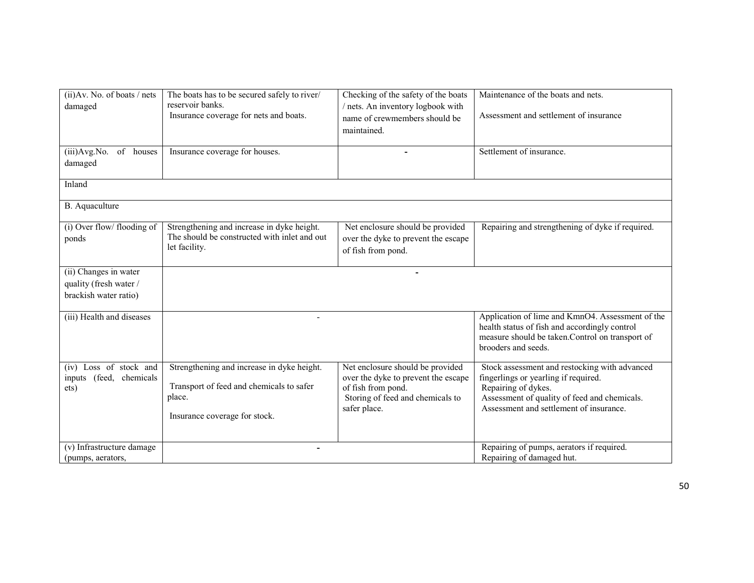| (ii) Av. No. of boats / nets<br>damaged                                  | The boats has to be secured safely to river/<br>reservoir banks.<br>Insurance coverage for nets and boats.                        | Checking of the safety of the boats<br>/ nets. An inventory logbook with<br>name of crewmembers should be<br>maintained.                          | Maintenance of the boats and nets.<br>Assessment and settlement of insurance                                                                                                                            |
|--------------------------------------------------------------------------|-----------------------------------------------------------------------------------------------------------------------------------|---------------------------------------------------------------------------------------------------------------------------------------------------|---------------------------------------------------------------------------------------------------------------------------------------------------------------------------------------------------------|
| (iii) Avg. No.<br>of houses<br>damaged                                   | Insurance coverage for houses.                                                                                                    |                                                                                                                                                   | Settlement of insurance.                                                                                                                                                                                |
| Inland                                                                   |                                                                                                                                   |                                                                                                                                                   |                                                                                                                                                                                                         |
| B. Aquaculture                                                           |                                                                                                                                   |                                                                                                                                                   |                                                                                                                                                                                                         |
| (i) Over flow/ flooding of<br>ponds                                      | Strengthening and increase in dyke height.<br>The should be constructed with inlet and out<br>let facility.                       | Net enclosure should be provided<br>over the dyke to prevent the escape<br>of fish from pond.                                                     | Repairing and strengthening of dyke if required.                                                                                                                                                        |
| (ii) Changes in water<br>quality (fresh water /<br>brackish water ratio) |                                                                                                                                   |                                                                                                                                                   |                                                                                                                                                                                                         |
| (iii) Health and diseases                                                | $\blacksquare$                                                                                                                    |                                                                                                                                                   | Application of lime and KmnO4. Assessment of the<br>health status of fish and accordingly control<br>measure should be taken.Control on transport of<br>brooders and seeds.                             |
| (iv) Loss of stock and<br>inputs (feed, chemicals<br>ets)                | Strengthening and increase in dyke height.<br>Transport of feed and chemicals to safer<br>place.<br>Insurance coverage for stock. | Net enclosure should be provided<br>over the dyke to prevent the escape<br>of fish from pond.<br>Storing of feed and chemicals to<br>safer place. | Stock assessment and restocking with advanced<br>fingerlings or yearling if required.<br>Repairing of dykes.<br>Assessment of quality of feed and chemicals.<br>Assessment and settlement of insurance. |
| (v) Infrastructure damage<br>(pumps, aerators,                           |                                                                                                                                   |                                                                                                                                                   | Repairing of pumps, aerators if required.<br>Repairing of damaged hut.                                                                                                                                  |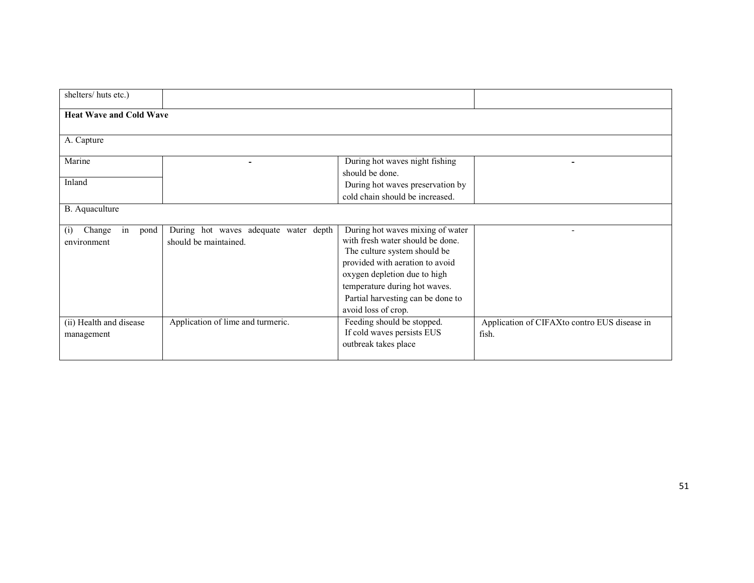| shelters/huts etc.)            |                                       |                                   |                                              |
|--------------------------------|---------------------------------------|-----------------------------------|----------------------------------------------|
|                                |                                       |                                   |                                              |
| <b>Heat Wave and Cold Wave</b> |                                       |                                   |                                              |
| A. Capture                     |                                       |                                   |                                              |
| Marine                         |                                       | During hot waves night fishing    |                                              |
|                                |                                       | should be done.                   |                                              |
| Inland                         |                                       | During hot waves preservation by  |                                              |
|                                |                                       | cold chain should be increased.   |                                              |
| B. Aquaculture                 |                                       |                                   |                                              |
| in<br>Change<br>pond<br>(i)    | During hot waves adequate water depth | During hot waves mixing of water  |                                              |
| environment                    | should be maintained.                 | with fresh water should be done.  |                                              |
|                                |                                       | The culture system should be      |                                              |
|                                |                                       | provided with aeration to avoid   |                                              |
|                                |                                       | oxygen depletion due to high      |                                              |
|                                |                                       | temperature during hot waves.     |                                              |
|                                |                                       | Partial harvesting can be done to |                                              |
|                                |                                       | avoid loss of crop.               |                                              |
| (ii) Health and disease        | Application of lime and turmeric.     | Feeding should be stopped.        | Application of CIFAXto contro EUS disease in |
| management                     |                                       | If cold waves persists EUS        | fish.                                        |
|                                |                                       | outbreak takes place              |                                              |
|                                |                                       |                                   |                                              |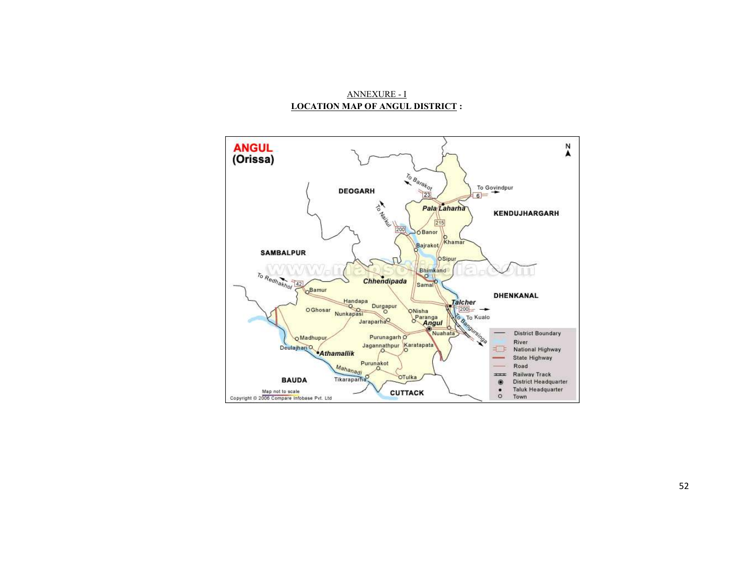### ANNEXURE - ILOCATION MAP OF ANGUL DISTRICT :